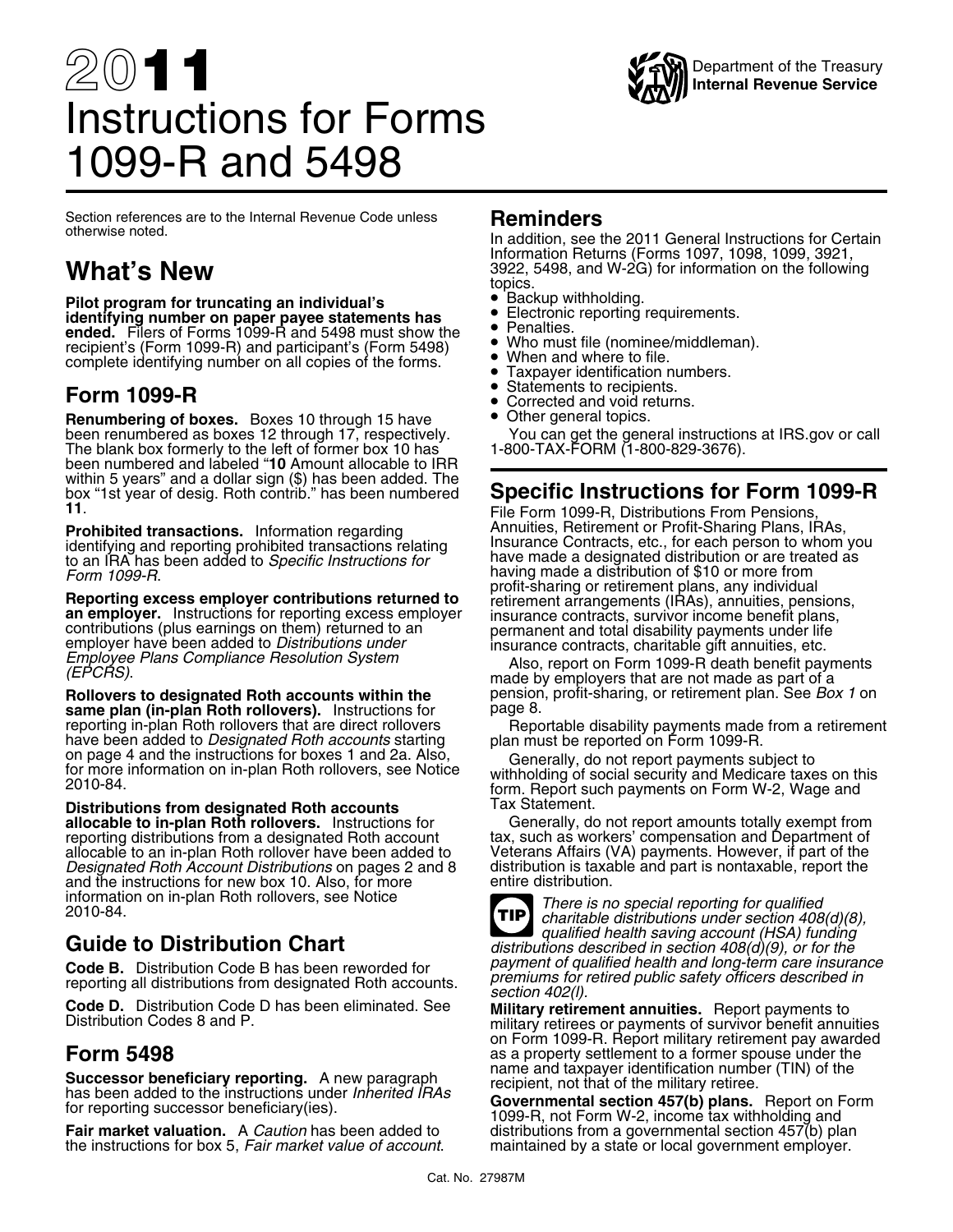

# 20**11** Instructions for Forms 1099-R and 5498

Section references are to the Internal Revenue Code unless **Reminders** otherwise noted. In addition, see the 2011 General Instructions for Certain

**Pilot program for truncating an individual's** • Backup withholding. •Electronic reporting requirements.<br>**identifying number on paper payee statements has** • Penalties ndentifying number on paper payee statements has<br> **ended.** Filers of Forms 1099-R and 5498 must show the virtuos of Penalties.<br>
recipient's (Form 1099-R) and participant's (Form 5498) virtuos with the (nominee/middleman). Who must file (nominee/middleman). recipient's (Form 1099-R) and participant's (Form 5498) •complete identifying number on all copies of the forms.

**Renumbering of boxes.** Boxes 10 through 15 have **•** Other general topics.<br>been renumbered as boxes 12 through 17, respectively. You can get the general instructions at IRS.gov or call<br>The blank box formerly to t been renumbered as boxes 12 through 17, respectively.<br>The blank box formerly to the left of former box 10 has<br>been numbered and labeled "10 Amount allocable to IRR within 5 years" and a dollar sign (\$) has been added. The box "1st year of desig. Roth contrib." has been numbered

**Prohibited transactions.** Information regarding<br>identifying and reporting prohibited transactions relating<br>to an IRA has been added to *Specific Instructions for*<br>Form 1099-R.<br>Form 1099-R.

**Reporting excess employer contributions returned to**<br> **an employer.** Instructions for reporting excess employer<br>
contributions (plus earnings on them) returned to an<br>
employer have been added to *Distributions under*<br>
Emp

**Rollovers to designated Roth accounts within the pension<br>same plan (in-plan Roth rollovers) dipstructions for the page 8. same plan (in-plan Roth rollovers).** Instructions for page 8.<br> **Reporting in-plan Roth rollovers that are direct rollovers** Reportable disability payments made from a retirement have been added to *Designated Roth accounts* starting plan must be reported on Form 1099-R.<br>
on page 4 and the instructions for boxes 1 and 2a. Also, Generally, do not report payments subject to<br>
for more information on i

**Distributions from designated Roth accounts** Tax Statement.<br> **allocable to in-plan Roth rollovers.** Instructions for Generally, do **allocable to in-plan Roth rollovers.** Instructions for Generally, do not report amounts totally exempt from reporting distributions from a designated Roth account tax, such as workers' compensation and Department of allocable to an in-plan Roth rollover have been added to Veterans Affairs (VA) payments. However, if part of the<br>Designated Roth Account Distributions on pages 2 and 8 distribution is taxable and part is nontaxable, report *Designated Roth Account Distributions* on pages 2 and 8 distribution is taxa<br>and the instructions for new box 10. Also, for more entire distribution. and the instructions for new box 10. Also, for more information on in-plan Roth rollovers, see Notice

Successor beneficiary reporting. A new paragraph<br>has been added to the instructions under *Inherited IRAs*<br>for reporting successor beneficiary(ies).<br>**Governmental section 457(b) plans.** Report on Form<br>**Fair market valuatio** 

the instructions for box 5, *Fair market value of account*.

Information Returns (Forms 1097, 1098, 1099, 3921, **What's New** 3922, 5498, and W-2G) for information on the following

- topics.<br>• Backup withholding.
- 
- 
- •
- 
- Taxpayer identification numbers.
- •**Form 1099-R** • Statements to recipients.
	- Corrected and void returns.
	-

box "1st year of desig. Roth contrib." has been numbered **Specific Instructions for Form 1099-R**<br>11. File Form 1099-R, Distributions From Pensions,<br>**Prohibited transactions.** Information regarding Annuities, Retirement or having made a distribution of \$10 or more from<br>profit-sharing or retirement plans, any individual

tax, such as workers' compensation and Department of Veterans Affairs (VA) payments. However, if part of the



Information on in-plan Roth rollovers, see Notice *There is no special reporting for qualified*<br>2010-84. *charitable distributions under section 408(d)(8), qualified health saving account (HSA) funding* Guide to Distribution Chart<br>Code B. Distribution Code B has been reworded for *payment of qualified health and long-term care insurance* **Code B.** Distribution Code B has been reworded for *payment of qualified health and long-term care insurance*<br>reporting all distributions from designated Roth accounts.<br>**Code D.** Distribution Code D has been eliminated. S

on Form 1099-R. Report military retirement pay awarded **Form 5498** as a property settlement to a former spouse under the<br>**Cusesces baneficially sensiting** A new news unable name and taxpayer identification number (TIN) of the

distributions from a governmental section 457(b) plan<br>maintained by a state or local government employer.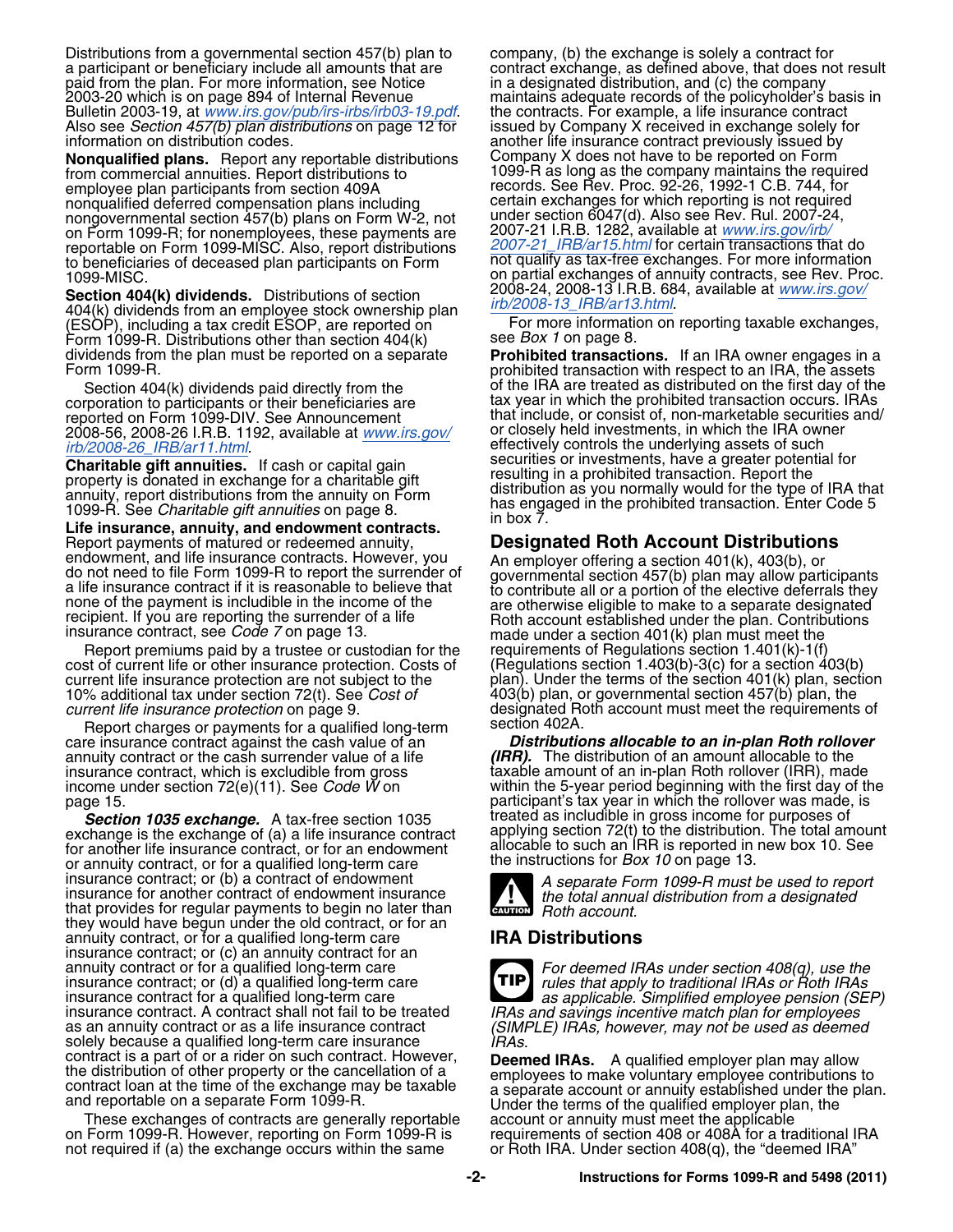Distributions from a governmental section 457(b) plan to company, (b) the exchange is solely a contract for paid from the plan. For more information, see Notice 2003-20 which is on page 894 of Internal Revenue Bulletin 2003-19, at *[www.irs.gov/pub/irs-irbs/irb03-19.pdf](http://www.irs.gov/pub/irs-irbs/irb03-19.pdf).* Also see *Section 457(b) plan distributions* on page 12 for Also see *Section 457(b) plan distributions* on page 12 for issued by Company X received in exchange solely for information on distribution codes.<br>information on distribution codes.

**Nonqualified plans.** Report any reportable distributions from commercial annuities. Report distributions to employee plan participants from section 409A<br>nonqualified deferred compensation plans including nongovernmental section 457(b) plans on Form W-2, not under section 6047(d). Also see Rev. Rul. 2007-24<br>on Form 1099-R; for nonemployees, these payments are 2007-21 I.R.B. 1282, available at www.irs.gov/irb/ on Form 1099-R; for nonemployees, these payments are 2007-21 I.R.B. 1282, available at *[www.irs.gov/irb/](http://www.irs.gov/irb/2007-21_IRB/ar15.html)* reportable on Form 1099-MISC. Also, report distributions *[2007-21\\_IRB/ar15.html](http://www.irs.gov/irb/2007-21_IRB/ar15.html)* for certain transactions that do to beneficiaries of the homomptology, three payments and the model of dealing that do reportable on Form 1099-MISC. Also, report distributions<br>to beneficiaries of deceased plan participants on Form and qualify as tax-free

Section 404(k) dividends. Distributions of section<br>404(k) dividends from an employee stock ownership plan<br>(ESOP), including a tax credit ESOP, are reported on For more information on reporting taxable exchanges,<br>Form 1099 Form 1099-R. Distributions other than section 404(k) see *Box 1* on page 8.<br>dividends from the plan must be reported on a separate **Prohibited transactions.** If an IRA owner engages in a

reported on Form 1099-DIV. See Announcement entity of that include, or consist of, non-marketable securities<br>2008-56, 2008-26 LB B, 1192, available at www.irs.cov/ enclosely held investments, in which the IRA owner 2008-56, 2008-26 I.R.B. 1192, available at *[www.irs.gov/](http://www.irs.gov/irb/2008-26_IRB/ar11.html)* or closely held investments, in which the IRA owner *[irb/2008-26\\_IRB/ar11.html](http://www.irs.gov/irb/2008-26_IRB/ar11.html).* effectively controls the underlying assets of such

Life insurance, annuity, and endowment contracts.<br>
Report payments of matured or redeemed annuity,<br>
endowment, and life insurance contracts. However, you<br>
do not need to file Form 1099-R to report the surrender of<br>
do not

Report premiums paid by a trustee or custodian for the cost of current life or other insurance protection. Costs of current life insurance protection are not subject to the plan). Under the terms of the section 401(k) plan, section<br>10% additional tax under section 72(t). See *Cost of* 403(b) plan, or governmental section 457(b) plan, th 10% additional tax under section 72(t). See *Cost of* 403(b) plan, or governmental section 457(b) plan, the

Report charges or payments for a qualified long-term care insurance contract against the cash value of an annuity contract or the cash surrender value of a life *insurance contract*, which is excludible from gross insurance contract, which is excludible from gross taxable amount of an in-plan Roth rollover (IRR), made

**Section 1035 exchange.** A tax-free section 1035 treated as includible in gross income for purposes of exchange is the exchange of (a) a life insurance contract applying section 72(t) to the distribution. The total amount exchange is the exchange of (a) a life insurance contract applying section 72(t) to the distribution. The total amous<br>for another life insurance contract, or for an endowment allocable to such an IRR is reported in new bo or annuity contract, or for a qualified long-term care insurance contract; or (b) a contract of endowment insurance contract; or (b) a contract of endowment<br>insurance for another contract of endowment insurance<br>that provides for regular payments to begin no later than<br>the total annual distribution from a designated<br>that provi they would have begun under the old contract, or for an annuity contract, or for a qualified long-term care **IRA Distributions** insurance contract; or (c) an annuity contract for an annuity contract or for a qualified long-term care<br>insurance contract; or (d) a qualified long-term care<br>insurance contract for a qualified long-term care<br>as applicable. Simplified employee pension (SEP) insurance contract. A contract shall not fail to be treated IRAs and savings incentive match plan for employees<br>as an annuity contract or as a life insurance contract (SIMPLE) IRAs, however, may not be used as deemed<br>solel

These exchanges of contracts are generally reportable on Form 1099-R is<br>on Form 1099-R. However, reporting on Form 1099-R is on Form 1099-R. However, reporting on Form 1099-R is requirements of section 408 or 408A for a traditional IRA not required if (a) the exchange occurs within the same or Roth IRA. Under section 408(q), the "deemed IRA"

a participant or beneficiary include all amounts that are contract exchange, as defined above, that does not result<br>paid from the plan. For more information, see Notice in a designated distribution, and (c) the company maintains adequate records of the policyholder's basis in the contracts. For example, a life insurance contract another life insurance contract previously issued by<br>Company X does not have to be reported on Form 1099-R as long as the company maintains the required records. See Rev. Proc. 92-26, 1992-1 C.B. 744, for certain exchanges for which reporting is not required under section 6047(d). Also see Rev. Rul. 2007-24, 1099-MISC.<br>
1099-MISC. Consumers on partial exchanges of annuity contracts, see Rev. Proc.<br>
Section 404/k) dividends Distributions of section 2008-24, 2008-13 I.R.B. 684, available at www.irs.gov/

dividends from the plan must be reported on a separate **Prohibited transactions.** If an IRA owner engages in a Form 1099-R.<br>Form 1099-R. prohibited transaction with respect to an IRA, the assets Section 404(k) dividends paid directly from the of the IRA are treated as distributed on the first day of the corporation to participants or their beneficiaries are the tax year in which the prohibited transaction occurs. tax year in which the prohibited transaction occurs. IRAs that include, or consist of, non-marketable securities and/ **Charitable gift annuities.** If cash or capital gain<br>property is donated in exchange for a charitable gift<br>annuity, report distributions from the annuity on Form<br>1099-R. See *Charitable gift annuities* on page 8.<br>**Life ins** 

(Regulations section 1.403(b)-3(c) for a section  $403(b)$ designated Roth account must meet the requirements of section 402A.

**Distributions allocable to an in-plan Roth rollover** (IRR). The distribution of an amount allocable to the income under section 72(e)(11). See *Code W* on within the 5-year period beginning with the first day of the page 15. **page 15. participant's tax year in which the rollover was made, is participant's tax year in which the rollover was made, is** 





contract is a part of or a rider on such contract. However,<br>the distribution of other property or the cancellation of a<br>contract loan at the time of the exchange may be taxable<br>and reportable on a separate Form 1099-R.<br>The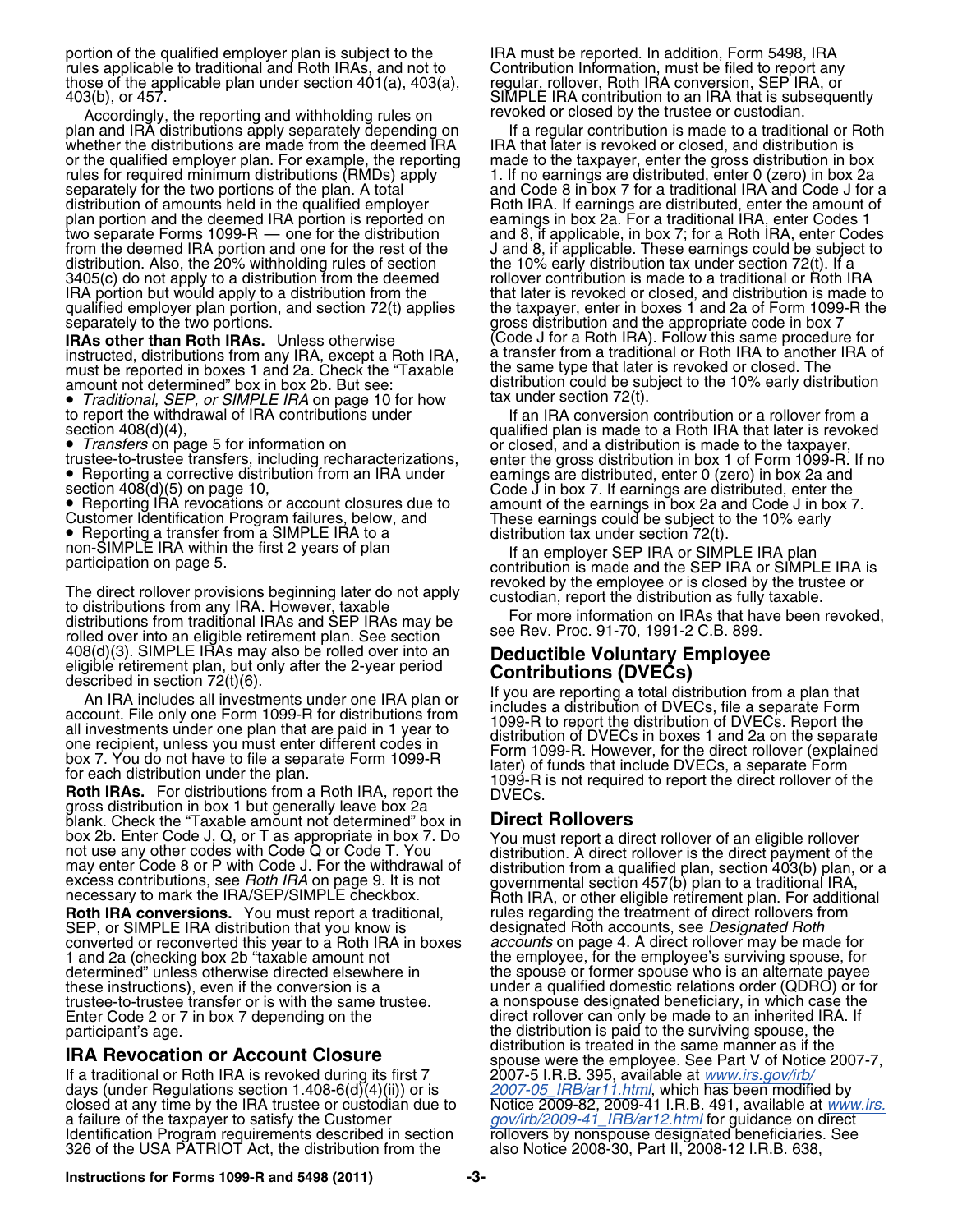portion of the qualified employer plan is subject to the IRA must be reported. In addition, Form 5498, IRA rules applicable to traditional and Roth IRAs, and not to Contribution Information, must be filed to report any<br>those of the applicable plan under section 401(a), 403(a), regular, rollover, Roth IRA conversion, SEP IRA, or those of the applicable plan under section 401(a), 403(a), regular, rollover, Roth IRA conversion, SEP IRA, or<br>403(b), or 457. SIMPLE IRA contribution to an IRA that is subsequently

Accordingly, the reporting and withholding rules on revoked or closed by the trustee or custodian.<br>In and IRA distributions apply separately depending on ff a regular contribution is made to a traditional or Roth plan and IRA distributions apply separately depending on If a regular contribution is made to a traditional or<br>whether the distributions are made from the deemed IRA IRA that later is revoked or closed, and distribution is whether the distributions are made from the deemed IRA IRA that later is revoked or closed, and distribution is<br>The qualified employer plan. For example, the reporting made to the taxpayer, enter the gross distribution in or the qualified employer plan. For example, the reporting made to the taxpayer, enter the gross distribution in box<br>rules for required minimum distributions (RMDs) apply 1. If no earnings are distributed, enter 0 (zero) i separately for the two portions of the plan. A total and Code 8 in box 7 for a traditional IRA and Code J for a<br>distribution of amounts held in the qualified employer Roth IRA. If earnings are distributed, enter the amount plan portion and the deemed IRA portion is reported on two separate Forms 1099-R — one for the distribution two separate Forms 1099-R — one for the distribution and 8, if applicable, in box 7; for a Roth IRA, enter Codes<br>from the deemed IRA portion and one for the rest of the J and 8, if applicable. These earnings could be subje from the deemed IRA portion and one for the rest of the Jand 8, if applicable. These earnings could be subject to<br>distribution. Also, the 20% withholding rules of section the 10% early distribution tax under section 72(t). distribution. Also, the 20% withholding rules of section the 10% early distribution tax under section 72(t). If a<br>3405(c) do not apply to a distribution from the deemed the rollover contribution is made to a traditional or IRA portion but would apply to a distribution from the that later is revoked or closed, and distribution is made to<br>qualified employer plan portion, and section 72(t) applies the taxpayer, enter in boxes 1 and 2a of Form 1 qualified employer plan portion, and section 72(t) applies the taxpayer, enter in boxes 1 and 2a of Form 1099-R the separately to the two portions.

must be reported in boxes 1 and 2a. Check the "Taxable the same type that later is revoked or closed. The<br>amount not determined" box in box 2b. But see:<br>distribution could be subject to the 10% early distribution amount not determined" box in box 2b. But see: distribution could be subject to the 10% early distribution

• *Traditional, SEP, or SIMPLE IRA* on page 10 for how tax under section 72(t).

• Transfers on page 5 for information on

 $\bullet\,$  Reporting a corrective distribution from an IRA under

● Reporting a transfer from a SIMPLE IRA to a distribution tax under section 72(t).<br>non-SIMPLE IRA within the first 2 years of plan If an employer SEP IRA or SIMPLE IRA plan<br>participation on page 5.

The direct rollover provisions beginning later do not apply<br>to distributions from any IRA. However, taxable<br>distributions from any IRA. However, taxable<br>distributions from traditional IRAs and SEP IRAs may be<br>rolled over i

gross distribution in box 1 but generally leave box 2a<br>blank. Check the "Taxable amount not determined" box in **Direct Rollovers** 

**Roth IRA conversions.** You must report a traditional, a rules regarding the treatment of direct rollovers from <br>SEP, or SIMPLE IRA distribution that you know is entitled assignated Roth accounts, see *Designated Roth* SEP, or SIMPLE IRA distribution that you know is converted or reconverted this year to a Roth IRA in boxes converted or reconverted this year to a Roth IRA in boxes *accounts* on page 4. A direct rollover may be made for 1 and 2a (checking box 2b "taxable amount not the employee, for the employee's surviving spouse, for<br>determined" unless otherwise directed elsewhere in the spouse or former spouse who is an alternate payee these instructions), even if the conversion is a under a qualified domestic relations order (QDRO) or for<br>trustee-to-trustee transfer or is with the same trustee. <br>a nonspouse designated beneficiary, in which case the trustee-to-trustee transfer or is with the same trustee. Enter Code 2 or 7 in box 7 depending on the direct rollover can only be made to an inherited IRA. If

If a traditional or Roth IRA is revoked during its first 7 2007-5 I.R.B. 395, available at [www.irs.gov/irb/](http://www.irs.gov/irb/2007-05_IRB/ar11.html)<br>days (under Regulations section 1.408-6(d)(4)(ii)) or is [2007-05\\_IRB/ar11.html](http://www.irs.gov/irb/2007-05_IRB/ar11.html), which has been modified by<br>closed closed at any time by the IRA trustee or custodian due to Notice 2009-82, 2009-41 I.R.B. 491, available at *[www.irs.](http://www.irs.gov/irb/2009-41_IRB/ar12.html)*<br>a failure of the taxpayer to satisfy the Customer *gov/irb/2009-41\_IRB/ar12.html* for guidance on direct Identification Program requirements described in section 326 of the USA PATRIOT Act, the distribution from the

Roth IRA. If earnings are distributed, enter the amount of earnings in box 2a. For a traditional IRA, enter Codes 1 rollover contribution is made to a traditional or Roth IRA gross distribution and the appropriate code in box 7<br>(Code J for a Roth IRA). Follow this same procedure for **IRAs other than Roth IRAs.** Unless otherwise (Code J for a Hoth IRA). Follow this same procedure for<br>instructed, distributions from any IRA, except a Roth IRA, a transfer from a traditional or Roth IRA to another IRA of<br>m

to report the withdrawal of IRA contributions under If an IRA conversion contribution or a rollover from a<br>gualified plan is made to a Roth IRA that later is revoked qualified plan is made to a Roth IRA that later is revoked *Transfers* on page 5 for information on or closed, and a distribution is made to the taxpayer, trustee-to-trustee transfers, including recharacterizations, enter the gross distribution in box 1 of Form 1099-R. If no ● Reporting a corrective distribution from an IRA under earnings are distributed, enter 0 (zero) in box 2a and<br>section 408(d)(5) on page 10, count closures due to code J in box 7. If earnings are distributed, enter the<br>●

408(d)(3). SIMPLE IRAs may also be rolled over into an<br>
eligible retirement plan, but only after the 2-year period<br>
described in section 72(t)(6).<br>
An IRA includes all investments under one IRA plan or<br>
account. File only

box 2b. Enter Code J, Q, or T as appropriate in box 7. Do<br>not use any other codes with Code Q or Code T. You<br>must report a direct rollover of an eligible rollover<br>not use any other codes with Code Q or Code T. You<br>may ente the spouse or former spouse who is an alternate payee participant's age.<br> **Participant's age.**<br> **Participant's age.**<br> **Participant's age.**<br> **Participant's age.**<br> **Participant's age.**<br> **Participant's age.**<br> **Participant's age. IRA Revocation or Account Closure**<br>If a traditional or Roth IRA is revoked during its first 7 2007-5 I.R.B. 395, available at *www.irs.gov/irb/* [gov/irb/2009-41\\_IRB/ar12.html](http://www.irs.gov/irb/2009-41_IRB/ar12.html) for guidance on direct<br>rollovers by nonspouse designated beneficiaries. See<br>also Notice 2008-30, Part II, 2008-12 I.R.B. 638,

**Instructions for Forms 1099-R and 5498 (2011) -3-**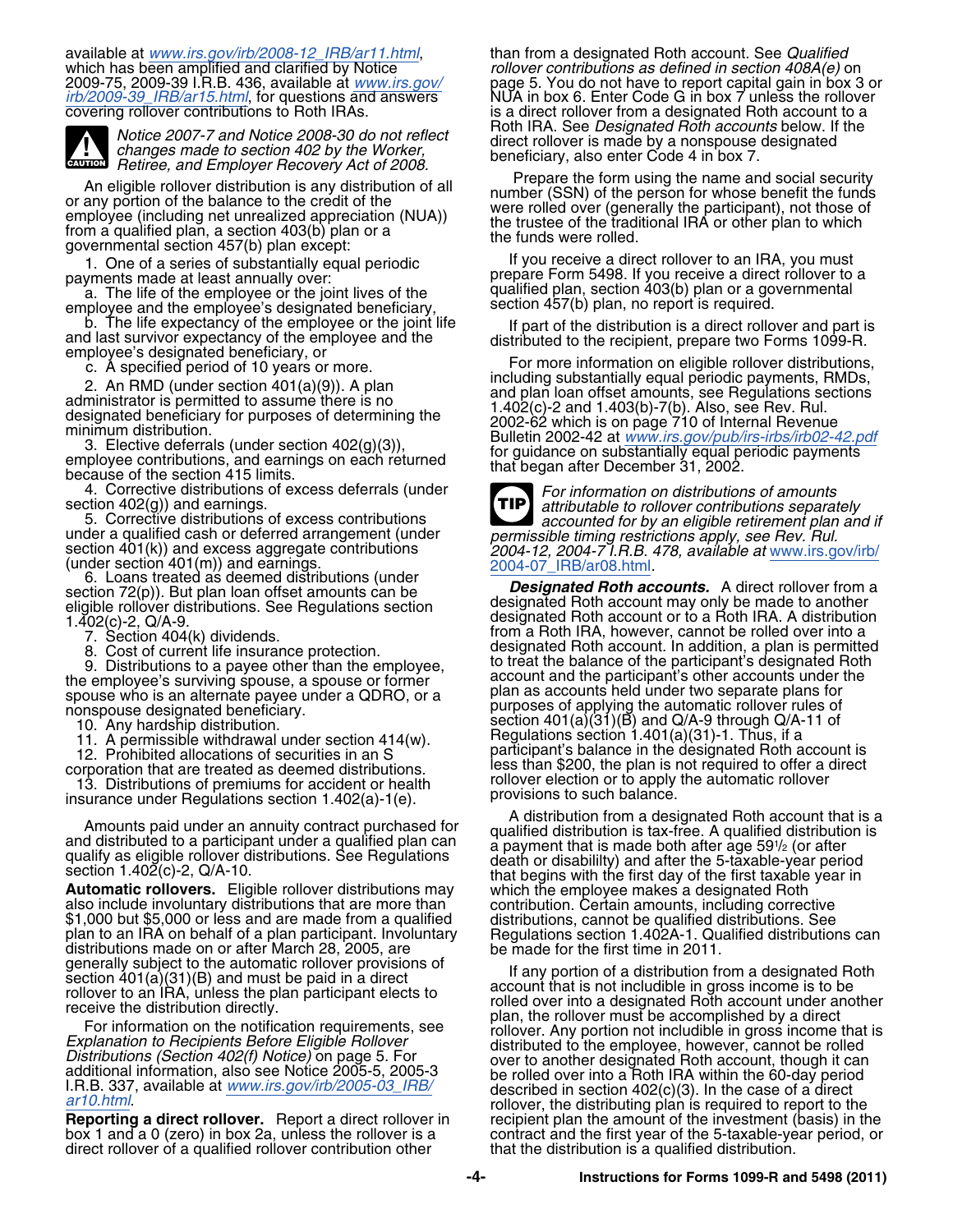available at *[www.irs.gov/irb/2008-12\\_IRB/ar11.html](http://www.irs.gov/irb/2008-12_IRB/ar11.html)*, than from a designated Roth account. See *Qualified*



Notice 2007-7 and Notice 2008-30 do not reflect<br>changes made to section 402 by the Worker,<br>Retiree, and Employer Recovery Act of 2008.<br>Nigible religions distribution is any distribution of all Prepare the form using the na

An eligible rollover distribution is any distribution of all<br>or any portion of the balance to the credit of the<br>employee (including net unrealized appreciation (NUA))<br>from a qualified plan, a section 403(b) plan or a<br>gover

employee and the employee or the joint lives of the employee or the interval interval interval of the employee's designated beneficiary,<br>Betion 457(b) plan, no report is required.<br>b. The life expectancy of the employee or

employee contributions, and earnings on each returned<br>because of the section 415 limits.<br>4. Corrective distributions of excess deferrals (under<br>section 402(g)) and earnings.

direct rollover of a qualified rollover contribution other

which has been amplified and clarified by Notice *rollover contributions as defined in section 408A(e)* on 2009-75, 2009-39 I.R.B. 436, available at [www.irs.gov/](http://www.irs.gov/irb/2009-39_IRB/ar15.html)<br>
irb/2009-39 I.R.B. 436, available at www.irs.gov/<br>
page 5. You do not have to report capital gain in box 3 o<br>
irb/2009-39 IRB/ar15.html, for questions and answers<br>
NU covering rollover contributions to Roth IRAs.<br> **EXECUTE:** Intervention of the Roth IRA. See *Designated Roth accounts* below. If the

1. One of a series of substantially equal periodic **If you receive a direct rollover to an IRA**, you must<br>If you receive a direct rollover to a prepare Form 5498. If you receive a direct rollover to a prepare Form 5498. If you receive a direct rollover to a prepare form 5498. If you receive a direct rollover to a a. The life of the employee or the joint lives of the qualified plan, section  $403(b)$  plan or a governmental as  $457(b)$ 

b. The life expectancy of the employee or the joint life<br>and last survivor expectancy of the employee and the<br>employee's designated beneficiary, or<br>employee's designated beneficiary, or<br>c. A specified period of 10 years o

section 402(g)) and earnings.<br>
5. Corrective distributions of excess contributions<br>
under a qualified cash or deferred arrangement (under<br>
section 401(k)) and excess aggregate contributions<br>
section 401(k)) and excess aggr **TIP**

under a qualified cash or deferred arrangement (under<br>section 401(k)) and excess aggregate contributions<br>(under section 401(m)) and earnings.<br>(under section 401(m)) and earnings.<br>Section 401(m)) and earnings.<br>Section 401(

A distribution from a designated Roth account that is a<br>and distributed to a participant under a qualified plan can<br>qualified distribution is tax-free. A qualified distribution is<br>qualify as eligible rollover distributions Section 1.402(c)-2, Q/A-10.<br> **Automatic rollovers.** Eligible rollover distributions may<br>
also include involuntary distributions that are more than<br>
\$1,000 but \$5,000 or less and are made from a qualified<br>
plan to an IRA on

generally subject to the automatic rollover provisions of<br>section 401(a)(31)(B) and must be paid in a direct<br>receive to an IRA, unless the plan participant elects to<br>receive the distribution directly.<br>For information on t recipient plan the amount of the investment (basis) in the box 1 and a 0 (zero) in box 2a, unless the rollover is a contract and the first year of the 5-taxable-year period, or<br>direct rollover of a qualified rollover contribution other that the distribution is a qualified distribu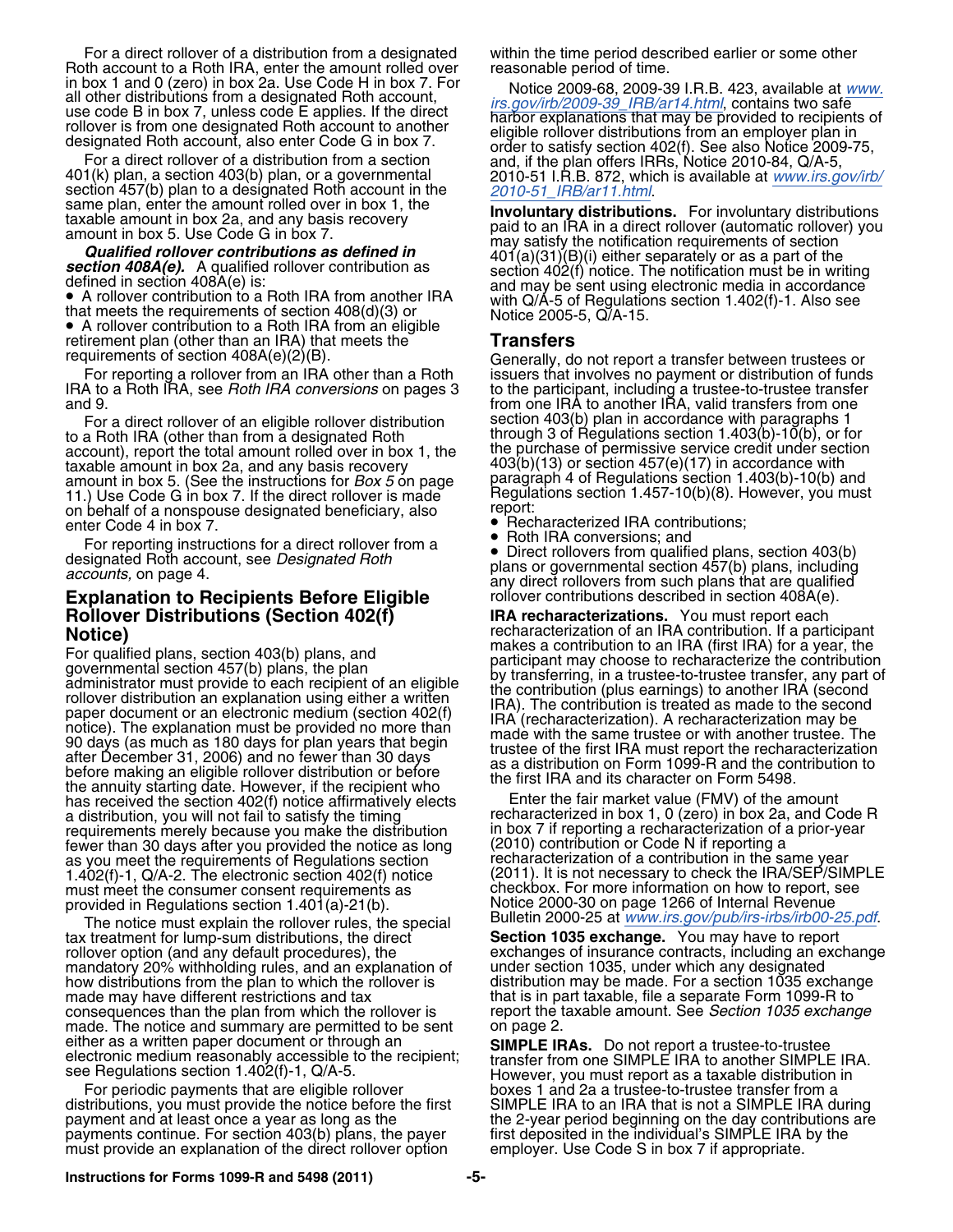For a direct rollover of a distribution from a designated within the time period described earlier or some other Roth account to a Roth IRA, enter the amount rolled over reasonable period of time.<br>in box 1 and 0 (zero) in box 2a. Use Code H in box 7. For Notice 2009-68, 2009-3

A rollover contribution to a Roth IRA from another IRA and may be sent using electronic media in accordance<br>
• A rollover contribution to a Roth IRA from another IRA with Q/A-5 of Regulations section 1.402(f)-1. Also see<br> retirement plan (other than an IRA) that meets the **Transfers**<br>requirements of section 408A(e)(2)(B). **The ann and an IRA**) that meets the **Transfers** 

to a Roth IRA (other than from a designated Roth through 3 of Regulations section 1.403(b)-10(b), or for to a Roth IRA (other than from a designated Roth<br>account), report the total amount rolled over in box 1, the the purchase of permissive service credit under section<br>taxable amount in box 2a, and any basis recovery  $403(b)(13$ taxable amount in box 2a, and any basis recovery 403(b)(13) or section 457(e)(17) in accordance with amount in box 5. (See the instructions for *Box 5* on page paragraph 4 of Regulations section 1.403(b)-10(b) and ance are code G in box 7. If the direct rollover is made Regulations section 1.457-10(b)(8). However, you must<br>on behalf of a nonspouse designated beneficiary also report: on behalf of a nonspouse designated beneficiary, also enter Code 4 in box 7.

For reporting instructions for a direct rollover from a<br>designated plans, section 403(b)<br>plans including the Designated Roth and the plans including

## **Explanation to Recipients Before Eligible** rollover contributions described in section 408A(e).<br>**Rollover Distributions (Section 402(f) RA recharacterizations.** You must report each **Rollover Distributions (Section 402(f) IRA recharacterizations.** You must report each

For qualified plans, section 403(b) plans, and<br>governmental section 403(b) plans, the plan<br>governmental section 457(b) plans, the plan<br>administrator must provide to each recipient of an eligible<br>by transferring, in a trust the annuity starting date. However, if the recipient who<br>has received the section 402(f) notice affirmatively elects Enter the fair market value (FMV) of the amount<br>a distribution, you will not fail to satisfy the timing r requirements merely because you make the distribution in box 7 if reporting a recharacterization of a recharacterization of a priorfewer than 30 days after you provided the notice as long (2010) contribution or Code N if reporting a<br>as you meet the requirements of Requlations section entity recharacterization of a contribution in the same year as you meet the requirements of Regulations section recharacterization of a contribution in the same year<br>1.402(f)-1. Q/A-2. The electronic section 402(f) notice (2011). It is not necessary to check the IRA/SEP/SIMPLE 1.402(f)-1, Q/A-2. The electronic section 402(f) notice must meet the consumer consent requirements as provided in Regulations section 1.401(a)-21(b). Notice 2000-30 on page 1266 of Internal Revenue

The notice must explain the rollover rules, the special Bulletin 2000-25 at *[www.irs.gov/pub/irs-irbs/irb00-25.pdf](http://www.irs.gov/pub/irs-irbs/irb00-25.pdf)*.<br>In treatment for lump-sum distributions, the direct **Section 1035 exchange.** You may have to report tax treatment for lump-sum distributions, the direct **Section 1035 exchange.** You may have to report rollover option (and any default procedures), the exchanges of insurance contracts, including an e<br>mandatory 20% withholding rules, and an explanation of under section 1035, under which any designated mandatory 20% withholding rules, and an explanation of how distributions from the plan to which the rollover is how distributions from the plan to which the rollover is distribution may be made. For a section 1035 exchange<br>made may have different restrictions and tax that is in part taxable, file a separate Form 1099-R to consequences than the plan from which the rollover is report the taxable amount. See *Section 1035 exchange* made. The notice and summary are permitted to be sent on page 2. made. The notice and summary are permitted to be sent either as a written paper document or through an

distributions, you must provide the notice before the first SIMPLE IRA to an IRA that is not a SIMPLE IRA during<br>payment and at least once a year as long as the the 2-year period beginning on the day contributions are payments continue. For section 403(b) plans, the payer first deposited in the individual's SIMPLE IRA by the must provide an explanation of the direct rollover option employer. Use Code S in box 7 if appropriate. must provide an explanation of the direct rollover option.

in box 1 and 0 (zero) in box 2a. Use Code H in box 7. For<br>
all other distributions from a designated Roth account,<br>
all other distributions of the direct<br>
suse code B in box 7, unless code E applies. If the direct<br>
distri

requirements of section 408A(e)(2)(B).<br>For reporting a rollover from an IRA other than a Roth issuers that involves no payment or distribution of funds<br>IRA to a Roth IRA, see *Roth IRA conversions* on pages 3 to the partic For a direct rollover of an eligible rollover distribution section 403(b) plan in accordance with paragraphs 1

- $\bullet$  Recharacterized IRA contributions;<br> $\bullet$  Roth IRA conversions; and
- •

plans or governmental section 457(b) plans, including<br>accounts, on page 4. The accounts of page 4.

**Notice) recharacterization of an IRA contribution.** If a participant  $\sum_{n=1}^{\infty}$  recharacterization of an IRA contribution. If a participant

recharacterized in box 1, 0 (zero) in box 2a, and Code R in box 7 if reporting a recharacterization of a prior-year checkbox. For more information on how to report, see

that is in part taxable, file a separate Form 1099-R to

either as a written paper document or through an<br>electronic medium reasonably accessible to the recipient;<br>see Regulations section 1.402(f)-1, Q/A-5.<br>However, you must report as a taxable distribution in For periodic payments that are eligible rollover \_\_\_\_\_\_\_\_\_\_\_\_\_\_\_\_\_\_\_\_\_\_\_\_\_\_\_\_\_\_\_\_<br>tributions, you must provide the notice before the first \_\_\_\_\_\_\_SIMPLE IRA to an IRA that is not a SIMPLE IRA during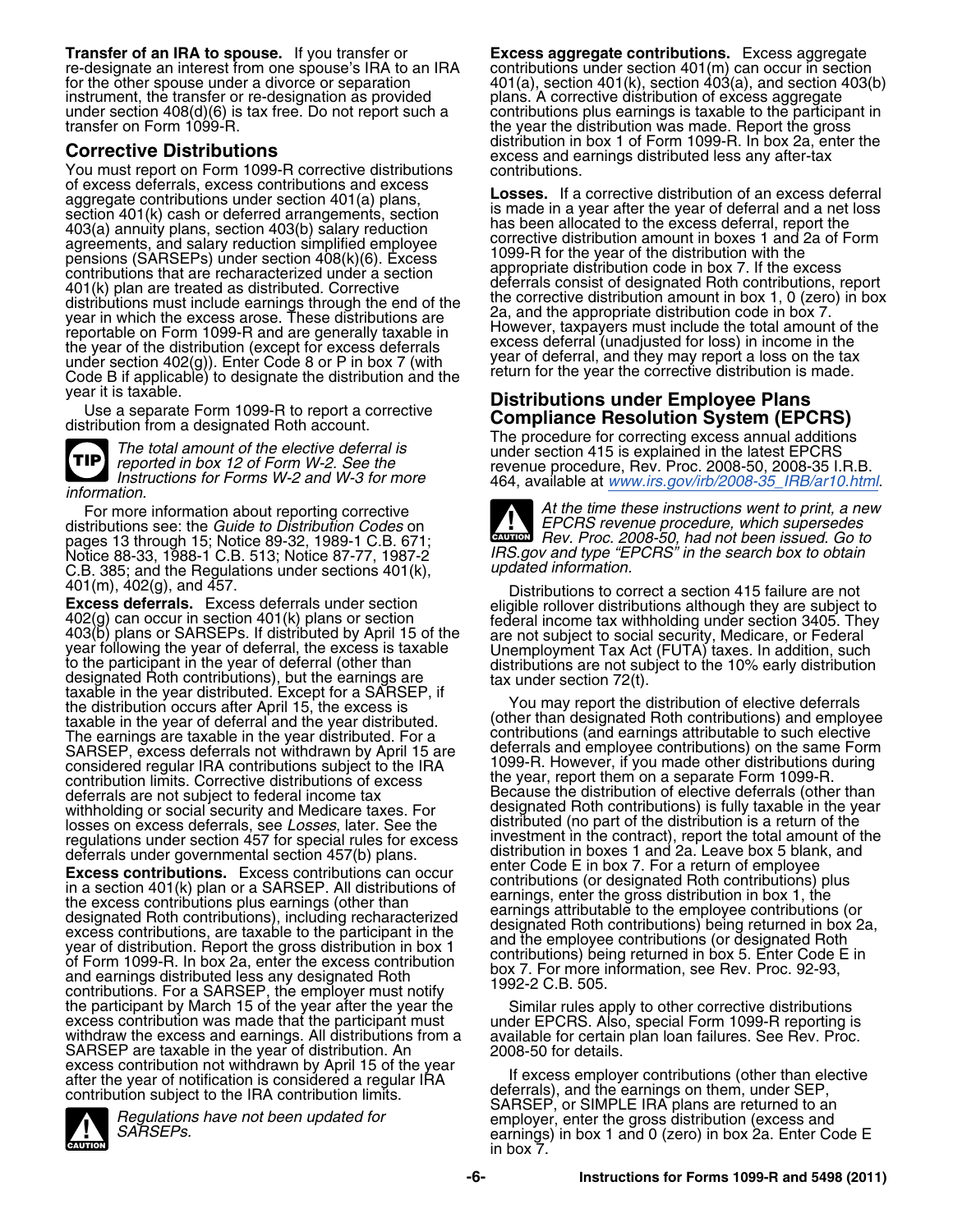**Transfer of an IRA to spouse.** If you transfer or **Excess aggregate contributions.** Excess aggregate re-designate an interest from one spouse's IRA to an IRA contributions under section 401(m) can occur in section<br>for the other spouse under a divorce or separation 401(a), section 401(k), section 403(a), and section 403( for the other spouse under a divorce or separation  $401(a)$ , section 401(k), section 403(a), and section 403(b) instrument, the transfer or re-designation as provided plans. A corrective distribution of excess aggregate under section 408(d)(6) is tax free. Do not report such a contributions plus earnings is taxable to the participant in<br>the year the distribution was made. Report the gross

**Corrective Distributions**<br>
You must report on Form 1099-R corrective distributions<br>
of excess and earnings distributed less any after-tax<br>
of excess deferrals, excess contributions and excess<br> **Longe Life corrective distr** Exercise contributions under section 401(a) plans,<br>section 401(a) plans,<br>action 401(k) cash or deferred arrangements, section<br>403(a) annuity plans, section 403(b) salary reduction<br>agreements, and salary reduction simplifie agreements, and salary reduction simplified employee<br>
pensions (SARSEPs) under section 408(k)(6). Excess and corrective distribution amount in boxes 1 and 2a of Form<br>
appropriate distribution code in box 7. If the excess deferrals (SAROLL 5) under section 400(b)(0). LACESS<br>
401(k) plan are recharacterized under a section<br>
401(k) plan are recharacterized under a section<br>
401(k) plan are deferrals consist of designated Roth contributions, re



464, available at *[www.irs.gov/irb/2008-35\\_IRB/ar10.html](http://www.irs.gov/irb/2008-35_IRB/ar10.html)*. *information.*

For more information about reporting corrective pages 13 through 15; Notice 89-32, 1989-1 C.B. 671; Notice 88-33, 1988-1 C.B. 513; Notice 87-77, 1987-2 C.B. 385; and the Regulations under sections 401(k), 402(g), and 457.

**Excess deferrals.** Excess deferrals under section<br>  $402(g)$  can occur in section  $401(k)$  plans or section<br>  $403(b)$  plans or SARSEPs. If distributed by April 15 of the<br>
year following the year of deferral, the excess is ta taxable in the year distributed. Except for a SARSEP, if<br>the distribution occurs after April 15, the excess is<br>taxable in the year of deferral and the year distributed. The earnings are taxable in the year distributed. For a contributions (and earnings attributable to such elective<br>SARSEP, excess deferrals not withdrawn by April 15 are deferrals and employee contributions) on the same For SARSEP, excess deferrals not withdrawn by April 15 are deferrals and employee contributions) on the same Form<br>considered regular IBA contributions subject to the IBA 1099-R. However, if you made other distributions during considered regular IRA contributions subject to the IRA contribution limits. Corrective distributions of excess deferrals are not subject to federal income tax Because the distribution of elective deferrals (other than<br>withholding or social security and Medicare taxes. For designated Roth contributions) is fully taxable in the year withholding or social security and Medicare taxes. For losses on excess deferrals, see Losses, later. See the regulations under section 457 for special rules for excess investment in the contract), report the total amount of t<br>distribution in boxes 1 and 2a. Leave box 5 blank, and<br>distribution in boxes 1 and 2a. Leave box 5 blank,

**Excess contributions.** Excess contributions can occur in a section 401(k) plan or a SARSEP. All distributions of contributions (or designated Roth contributions plus earnings, enter the gross distribution in box 1, the d the participant by March 15 of the year after the year the<br>excess contribution was made that the participant must<br>withdraw the excess and earnings. All distributions from a<br>SARSEP are taxable in the year of distribution. A

**CAUTION !**

the year the distribution was made. Report the gross distribution in box 1 of Form 1099-R. In box 2a, enter the

year it is taxable.<br>
Use a separate Form 1099-R to report a corrective<br>
distributions **under Employee Plans**<br>
distribution from a designated Roth account.<br>
The total amount of the elective deferral is<br>
reported in box 12

| ,,,,,,,,,,,,,,,,                                                                                                                                                                                                                                                                        |                                                                                                                                                                                                                                                             |
|-----------------------------------------------------------------------------------------------------------------------------------------------------------------------------------------------------------------------------------------------------------------------------------------|-------------------------------------------------------------------------------------------------------------------------------------------------------------------------------------------------------------------------------------------------------------|
| For more information about reporting corrective<br>distributions see: the <i>Guide to Distribution Codes</i> on_<br>pages 13 through 15; Notice 89-32, 1989-1 C.B. 671;<br>Notice 88-33. 1988-1 C.B. 513: Notice 87-77. 1987-2_<br>C.B. 385: and the Requlations under sections 401(k). | At the time these instructions went to print, a new<br><b>TIME PCRS</b> revenue procedure, which supersedes<br><b>ENTION</b> Rev. Proc. 2008-50, had not been issued. Go to<br>IRS gov and type "EPCRS" in the search box to obtain<br>updated information. |
|                                                                                                                                                                                                                                                                                         |                                                                                                                                                                                                                                                             |

Distributions to correct a section 415 failure are not

(other than designated Roth contributions) and employee the year, report them on a separate Form 1099-R.<br>Because the distribution of elective deferrals (other than distributed (no part of the distribution is a return of the investment in the contract), report the total amount of the deferrals under governmental section 457(b) plans.<br>Exence contributions Exence contributions can essue that enter Code E in box 7. For a return of employee

excess contribution not withdrawn by April 15 of the year<br>after the year of notification is considered a regular IRA<br>contribution subject to the IRA contribution limits.<br>Begulations have not been updated for<br>SARSEP, or SIM earnings) in box 1 and 0 (zero) in box 2a. Enter Code E<br>in box 7.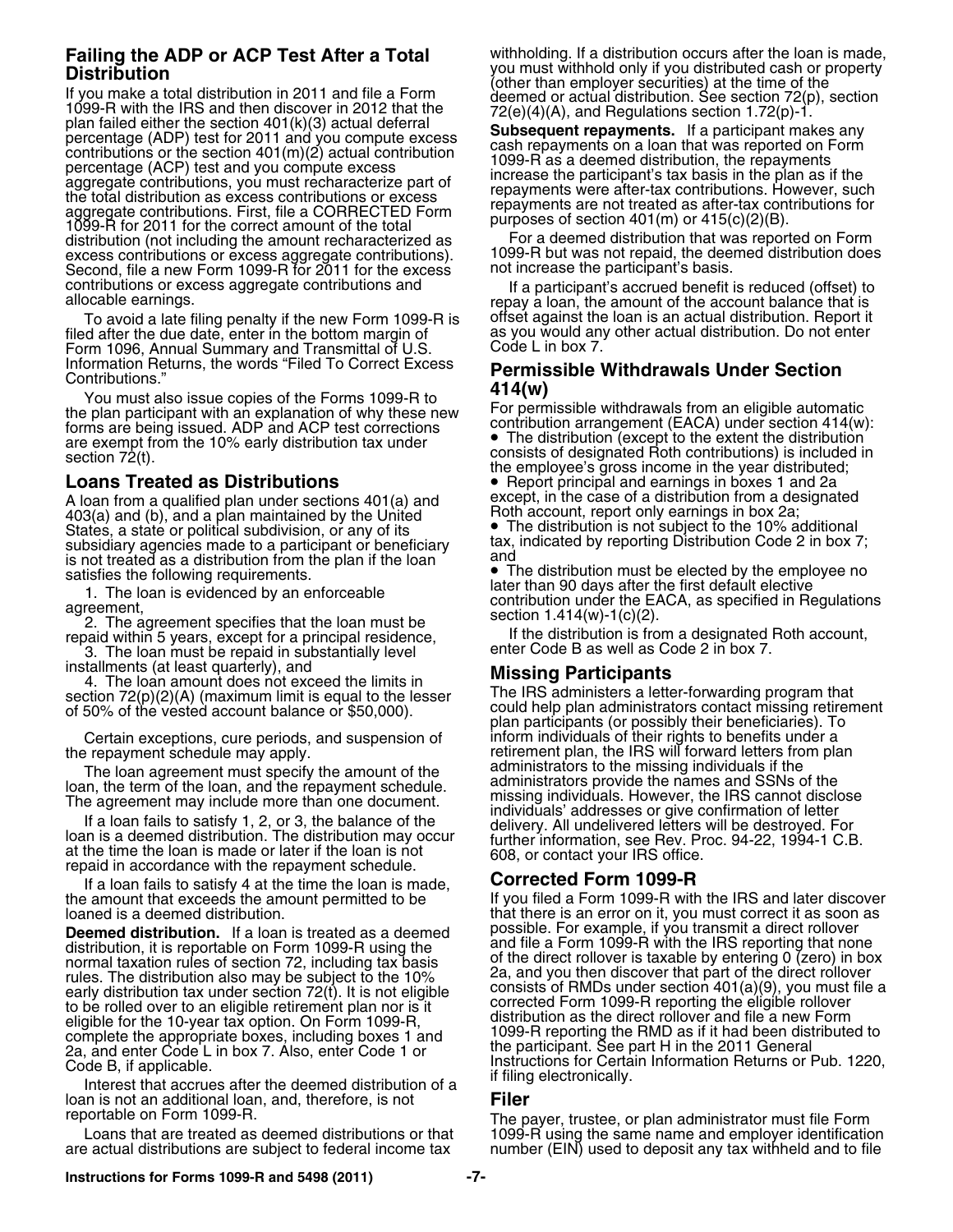**Distribution**<br>
If you make a total distribution in 2011 and file a Form<br>
1099-R with the IRS and then discover in 2012 that the<br>
1099-R with the IRS and then discover in 2012 that the<br>
plan faile a Form<br>
1099-R with the distribution (not including the amount recharacterized as For a deemed distribution that was reported on Form<br>excess contributions or excess aggregate contributions). 1099-R but was not repaid, the deemed distribution doe Second, file a new Form 1099-R for 2011 for the excess.

To avoid a late filing penalty if the new Form 1099-R is filed after the due date, enter in the bottom margin of Form 1096, Annual Summary and Transmittal of U.S.

Information Returns, the words "Filed To Correct Excess<br>
Contributions."<br>
You must also issue copies of the Forms 1099-R to<br>
the plan participant with an explanation of why these new<br>
for permissible withdrawals from an el

A loan from a qualified plan under sections  $401(a)$  and except, in the case of a distribution from a de<br>403(a) and (b) and a plan maintained by the United<br>Roth account, report only earnings in box 2a; Roth account, report only earnings in box 2a;<br>403(a) and (b), and a plan maintained by the United **Augusta Contract in the United States** States, a state or political subdivision, or any of its • The distribution is not subject to the 10% additional subsidiary agencies made to a participant or beneficiary tax, indicated by reporting Distribution Code 2 in box 7;<br>is not treated as a distribution from the plan if the loan and satisfies the following requirements.

if the distribution is from a designated in substantially level enter Code B as well as Code 2 in box 7.<br>3. The loan must be repaid in substantially level enter Code B as well as Code 2 in box 7.<br>**Missing Participants** 

Certain exceptions, cure periods, and suspension of inform individuals of their rights to benefits under a

If a loan fails to satisfy 4 at the time the loan is made, **Corrected Form 1099-R**<br>amount that exceeds the amount permitted to be **the correct of the form 1099-R** with the IRS and later discover the amount that exceeds the amount permitted to be loaned is a deemed distribution.

to be rolled over to an eligible retirement plan nor is it<br>eligible for the 10-year tax option. On Form 1099-R, distribution as the direct rollover and file a new Form English for the TD year tax option: Shirt britt 1000 11,<br>complete the appropriate boxes, including boxes 1 and the participant. See part H in the 2011 General 2a, and enter Code L in box 7. Also, enter Code 1 or

Interest that accrues after the deemed distribution of a loan is not an additional loan, and, therefore, is not **Filer**

**Failing the ADP or ACP Test After a Total** withholding. If a distribution occurs after the loan is made,<br>
Nistribution or property

1099-R but was not repaid, the deemed distribution does not increase the participant's basis.

contributions or excess aggregate contributions and<br>If a participant's accrued benefit is reduced (offset) to<br>To avoid a late filing penalty if the new Form 1099-R is offset against the loan is an actual distribution. Repo as you would any other actual distribution. Do not enter Code L in box 7.

forms are being issued. ADP and ACP test corrections<br>are exempt from the 10% early distribution tax under<br>section 72(t).<br>**Loans Treated as Distributions**<br>**Loans Treated as Distributions**<br>**Loans Treated as Distributions**<br>**L •** Report principal and earnings in boxes 1 and 2a except, in the case of a distribution from a designated

Satisfies the following requirements.<br>
1. The loan is evidenced by an enforceable<br>
2. The agreement specifies that the loan must be<br>
2. The agreement specifies that the loan must be<br>
repaid within 5 years, except for a pri

installments (at least quarterly), and<br>
4. The loan amount does not exceed the limits in<br>
section 72(p)(2)(A) (maximum limit is equal to the lesser<br>
of 50% of the vested account balance or \$50,000).<br>
The IRS administrators the repayment schedule may apply.<br>The loan agreement must specify the amount of the administrators to the missing individuals if the The loan agreement must specify the amount of the<br>loan, the term of the loan, and the repayment schedule.<br>The agreement may include more than one document.<br>If a loan fails to satisfy 1, 2, or 3, the balance of the<br>loan is

that there is an error on it, you must correct it as soon as possible. For example, if you transmit a direct rollover **Deemed distribution.** If a loan is treated as a deemed<br>distribution, it is reportable on Form 1099-R using the<br>normal taxation rules of section 72, including tax basis<br>rules. The distribution also may be subject to the 1 Code B, if applicable. In Jost Hyllos, enter we are the listructions for Certain Information Returns or Pub. 1220,<br>Internet that aggrege offer the deemed distribution of a liftling electronically.

reportable on Form 1099-R.<br>Loans that are treated as deemed distributions or that 1099-R using the same name and employer identification Loans that are treated as deemed distributions or that 1099-R using the same name and employer identification<br>are actual distributions are subject to federal income tax number (EIN) used to deposit any tax withheld and to number (EIN) used to deposit any tax withheld and to file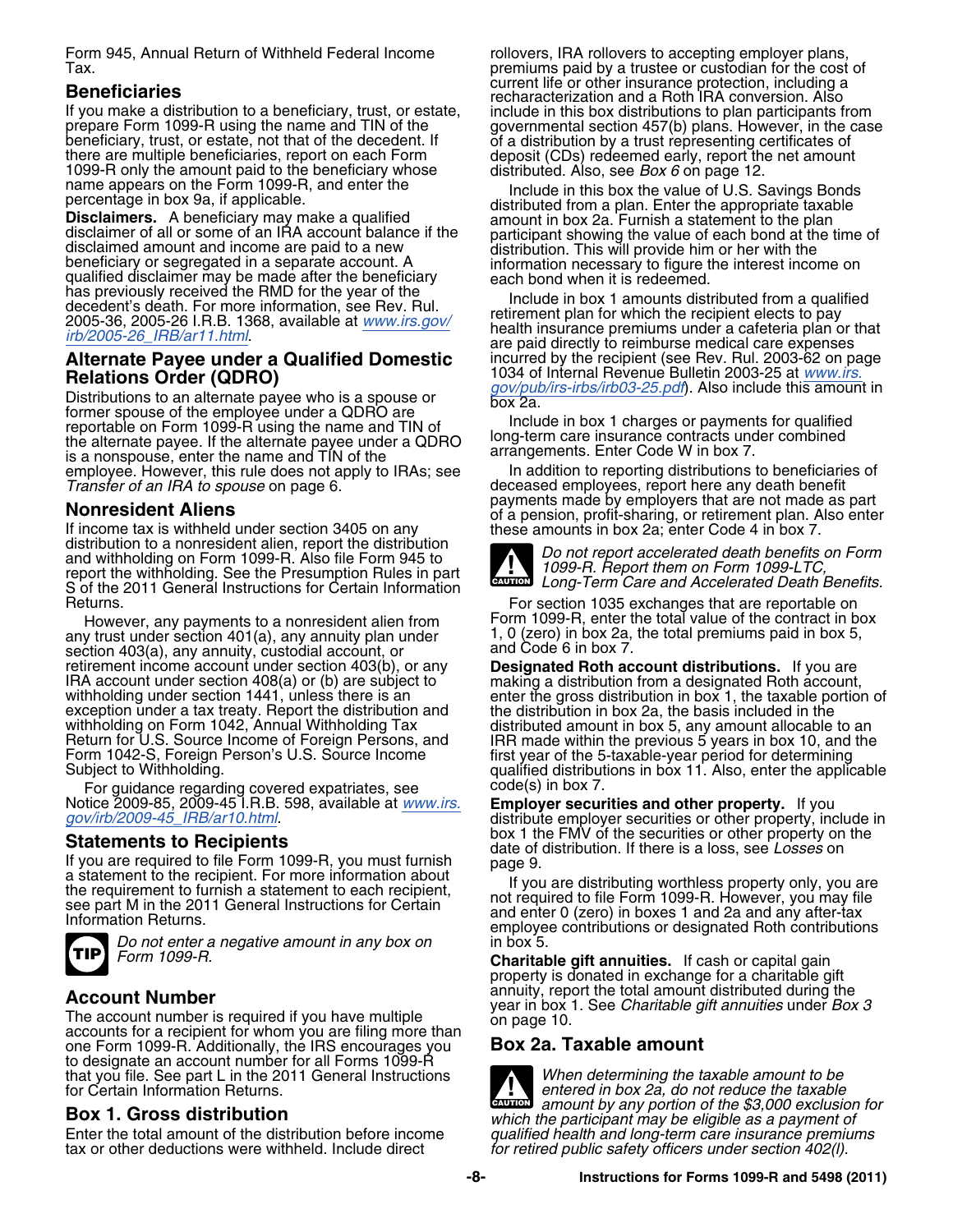Form 945, Annual Return of Withheld Federal Income rollovers, IRA rollovers to accepting employer plans,

## Alternate Payee under a Qualified Domestic<br>Relations Order (QDRO)

Distributions to an alternate payee who is a spouse or<br>former spouse of the employee under a QDRO are<br>reportable on Form 1099-R using the name and TIN of<br>the alternate payee. If the alternate payee under a QDRO long-term c employee. However, this rule does not apply to IRAs; see In addition to reporting distributions to beneficiaries of<br>Transfer of an IRA to spouse on page 6. Transferent deceased employees, report here any death benefit

distribution to a nonresident alien, report the distribution and withholding on Form 1099-R. Also file Form 945 to *Do not report accelerated death benefits on Form* and withholding on Form 1099-R. Also life Form 949 to<br>report the withholding. See the Presumption Rules in part *and Long-Term Care and Accelerated Death Benefits.*<br>Sof the 2011 General Instructions for Certain Information S of the 2011 General Instructions for Certain Information

However, any payments to a nonresident alien from Form 1099-R, enter the total value of the contract in bo<br>v trust under section 401(a), any annuity plan under 1, 0 (zero) in box 2a, the total premiums paid in box 5, any trust under section 401(a), any annuity plan under  $1, 0$  (zero) in box 2a, the total premium paid  $\frac{1}{10}$  premiums paid  $\frac{1}{10}$  and Code 6 in box 7, section 403(a), any annuity, custodial account, or and Code 6 in box 7.<br>
retirement income account under section 403(b), or any **Designated Roth account distributions.** If you are

For guidance regarding covered expatriates, see  $\hspace{1cm} \text{code(s)}$  in box 7.

If you are required to file Form 1099-R, you must furnish<br>
a statement to the recipient. For more information about<br>
the requirement to furnish a statement to each recipient,<br>
see part M in the 2011 General Instructions fo



*Do not enter a negative amount in any box on* in box 5.

The account number is required if you have multiple on page 10.<br>accounts for a recipient for whom you are filing more than<br>one Form 1099-R. Additionally, the IRS encourages you **Box 2a. Taxable amount** one Form 1099-R. Additionally, the IRS encourages you to designate an account number for all Forms 1099-R that you file. See part L in the 2011 General Instructions *When determining the taxable amount to be* for Certain Information Returns. *enterminism of the taxable* **entered in box 2a, do not reduce the taxable** 

tax or other deductions were withheld. Include direct

Tax. premiums paid by a trustee or custodian for the cost of current life or other insurance protection, including a **Beneficiaries** recharacterization and a Roth IRA conversion. Also

If you make a distribution to a beneficiary, trust, or estate,<br>
prepare Form 1099-R using the name and TIN of the decodent. If<br>
perpare form the case<br>
there are multiple beneficiaries, report on each Form<br>
the amount paid

qualified disclaimer may be made after the beneficiary<br>
has previously received the RMD for the year of the<br>
decedent's death. For more information, see Rev. Rul.<br>
2005-36, 2005-26 I.R.B. 1368, available at <u>[www.irs.gov/](http://www.irs.gov/irb/2005-26_IRB/ar11.html)</u><br> 1034 of Internal Revenue Bulletin 2003-25 at *[www.irs.](http://www.irs.gov/pub/irs-irbs/irb03-25.pdf)*<br>*gov/pub/irs-irbs/irb03-25.pdf*). Also include thi<del>s amoun</del>t in

deceased employees, report here any death benefit<br>payments made by employers that are not made as part **Nonresident Aliens**<br>If income tax is withheld under section 3405 on any<br>If income tax is withheld under section 3405 on any these amounts in box 2a; enter Code 4 in box 7.



Returns.<br>However any payments to a nonresident alien from Form 1099-R, enter the total value of the contract in box

IRA account under section 408(a) or (b) are subject to making a distribution from a designated Roth account,<br>withholding under section 1441, unless there is an enter the gross distribution in box 1, the taxable portion of<br> Return for U.S. Source Income of Foreign Persons, and<br>Form 1042-S, Foreign Person's U.S. Source Income<br>Subject to Withholding.<br>Subject to Withholding.<br>Subject to Withholding.<br>Subject to Withholding.

Notice 2009-85, 2009-45 I.R.B. 598, available at *[www.irs.](http://www.irs.gov/irb/2009-45_IRB/ar10.html)* **Employer securities and other property.** If you *[gov/irb/2009-45\\_IRB/ar10.html](http://www.irs.gov/irb/2009-45_IRB/ar10.html)*. distribute employer securities or other property, include in **Statements to Recipients**<br> **Statements to Recipients**<br>
If you are required to file Form 1099-R, you must furnish<br>  $\frac{1}{2}$  page 9.

**Charitable gift annuities.** If cash or capital gain property is donated in exchange for a charitable gift **Account Number**<br>**Account Number**<br>The account number is required if you have multiple<br>on page 10.<br>on page 10.

*amount by any portion of the \$3,000 exclusion for* **CAUTION ! Box 1. Gross distribution** *which the participant may be eligible as a payment of* qualified health and long-term care insurance premiums<br>for retired public safety officers under section 402(l).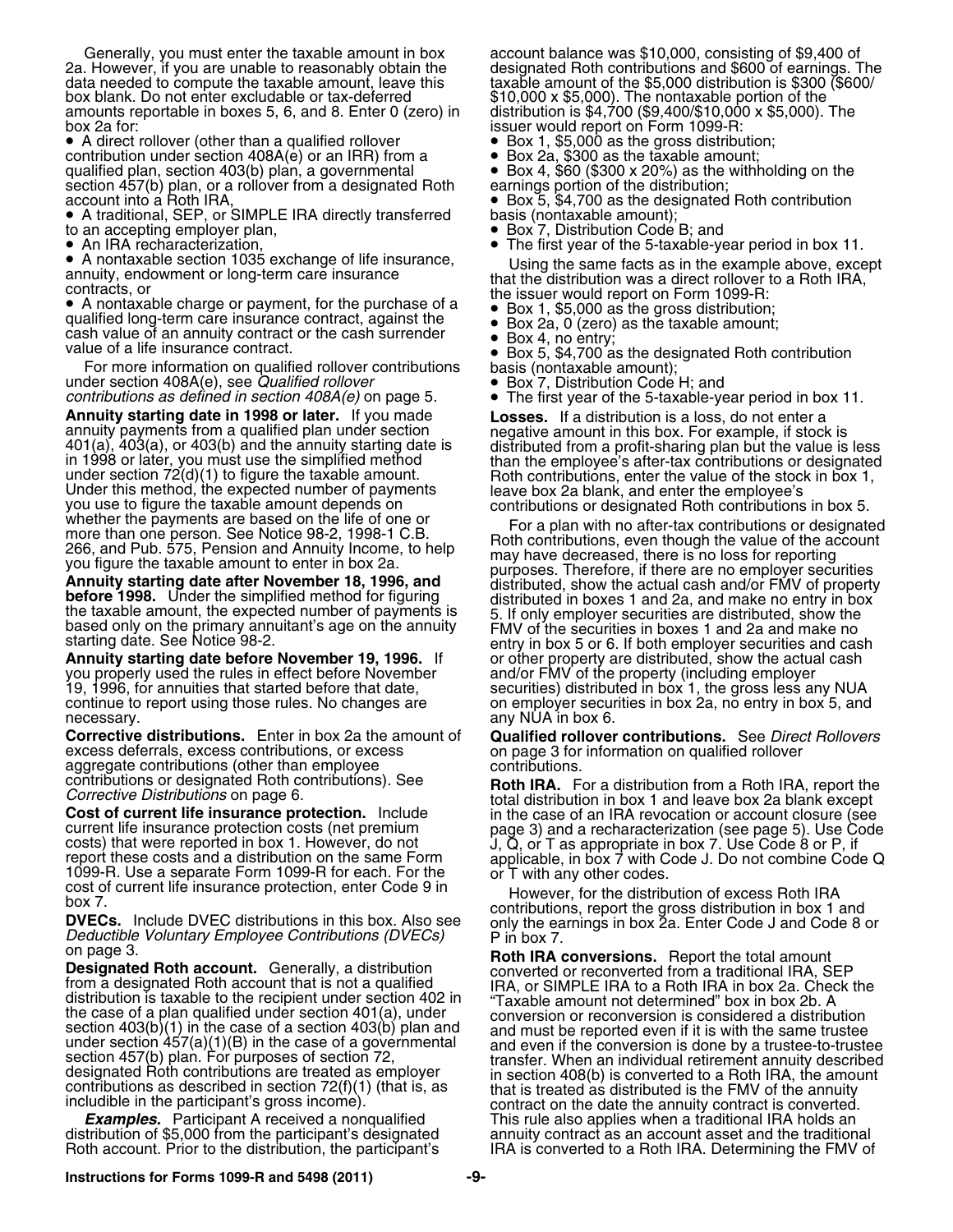Generally, you must enter the taxable amount in box account balance was \$10,000, consisting of \$9,400 of 2a. However, if you are unable to reasonably obtain the designated Roth contributions and \$600 of earnings. The box blank. Do not enter excludable or tax-deferred amounts reportable in boxes 5, 6, and 8. Enter 0 (zero) in distribution is \$4,700 (\$9,400/\$10,000 x \$5,000). The

• A direct rollover (other than a qualified rollover contribution under section 408A(e) or an IRR) from a qualified plan, section 403(b) plan, a governmental contribution under section 408A(e) or an IRR) from a<br>
qualified plan, section 403(b) plan, a governmental • Box 4, \$60 (\$300 x 20%) as the withholding on the<br>
section 457(b) plan, or a rollover from a designated Roth earni

• A traditional, SEP, or SIMPLE IRA directly transferred basis (nontaxable amount); to an accepting employer plan,<br>
• An IRA recharacterization,<br>
• An IRA recharacterization,<br>
• The first year of the 5-taxable-ye

•

• A nontaxable section 1035 exchange of life insurance, • A nontaxable section 1035 excritange of the insurance,<br>annuity, endowment or long-term care insurance<br>contracts, or<br>• A nontaxable charge or payment, for the purchase of a<br>• Box 1, \$5,000 as the gross distribution;

 A nontaxable charge or payment, for the purchase of a •qualified long-term care insurance contract, against the • Box 2a, 0 (zero) as the taxable amount; quallied long-term care insurance contract, against the version of an analogue of an annuit;<br>cash value of an annuity contract or the cash surrender versions a holentry: cash value of an annuity contract of the cash surfender  $\bullet$  Box 4, no entry;<br>value of a life insurance contract.

value of a life insurance contract.<br>
For more information on qualified rollover contributions<br>
under section 408A(e), see *Qualified rollover*<br>
e Box 7, Distribution Code H; and<br>
contributions as defined in section 408A(e)

**Annuity starting date in 1998 or later.** If you made<br>
annuity payments from a qualified plan under section<br>
and (a), 403(a), or 403(b) and the annuity starting date is<br>
in 1998 or later, you must use the simplified mentod

you properly used the rules in effect before November 19, 1996, for annuities that started before that date, securities) distributed in box 1, the gross less any NUA continue to report using those rules. No changes are **on** employer securities in box 2a, no entry in box 5, and necessary. The contract of the contract of the contract of the contract of the contract of the contract of the contract of the contract of the contract of the contract of the contract of the contract of the contract of the

**Corrective distributions.** Enter in box 2a the amount of **Qualified rollover contributions.** See *Direct Rollovers* excess deferrals, excess contributions, or excess on page 3 for information on qualified rollover aggregate contributions (other than employee contributions.<br>
contributions or designated Roth contributions). See **Roth IRA** 

taxable amount of the \$5,000 distribution is \$300 (\$600/<br>\$10,000 x \$5,000). The nontaxable portion of the

- issuer would report on Form 1099-R:<br>• Box 1, \$5,000 as the gross distribution;
- 

• Box 5, \$4,700 as the designated Roth contribution basis (nontaxable amount);

• The first year of the 5-taxable-year period in box 11.

- 
- 
- 

• The first year of the 5-taxable-year period in box 11.

based only on the primary annuitant's age on the annuity FMV of the securities in boxes 1 and 2a and make no<br>starting date. See Notice 98-2.<br>**Annuity starting date before November 19, 1996.** If or other property are distri or other property are distributed, show the actual cash and/or FMV of the property (including employer

contributions or designated Hoth contributions). See<br>
Corrective Distribution in box 1 and leave box 2a blank except<br>
Corrective Distributions on page 6.<br>
Corrective distribution in box 1 and leave box 2a blank except<br>
co

on page 3.<br> **Designated Roth account**. Generally, a distribution<br>
from a testignated from a traditional IRA, SEP<br>
from a testignated Roth account that is not a qualified<br>
distribution is taxable to the recipient under sec *Examples.* Participant A received a nonqualified This rule also applies when a traditional IRA holds an distribution of \$5,000 from the participant's designated annuity contract as an account asset and the traditional Rot IRA is converted to a Roth IRA. Determining the FMV of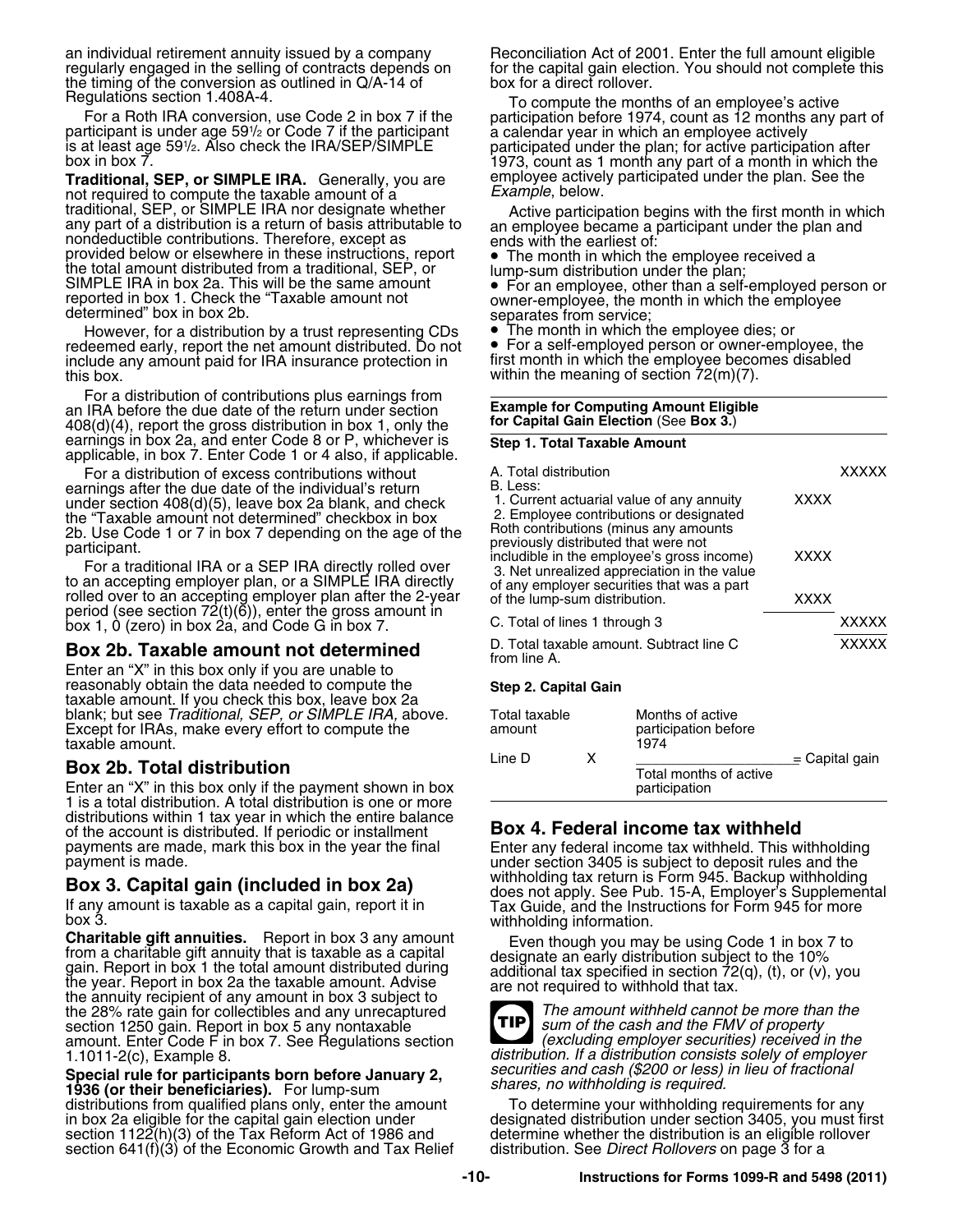an individual retirement annuity issued by a company Reconciliation Act of 2001. Enter the full amount eligible regularly engaged in the selling of contracts depends on for the capital gain election. You should not complete this<br>the timing of the conversion as outlined in Q/A-14 of box for a direct rollover.<br>Regulations section 1.40

participant is under age 59½ or Code 7 if the participant and a calendar year in which an employee actively<br>is at least age 59½. Also check the IRA/SEP/SIMPLE a participated under the plan; for active participa

**Traditional, SEP, or SIMPLE IRA.** Generally, you are employee active<br>not required to compute the taxable amount of a *Example*, below. not required to compute the taxable amount of a<br>traditional, SEP, or SIMPLE IRA nor designate whether traditional, SEP, or SIMPLE IRA nor designate whether any part of a distribution is a return of basis attributable to<br>any part of a distribution is a return of basis attributable to<br>nondeductible contributions. Therefore, provided below or elsewhere in these instructions, report <br>the total amount distributed from a traditional, SEP, or lump-sum distribution under the plan;<br>SIMPLE IRA in box 2a. This will be the same amount • For an employee For an employee, of an employee person or reported in box 1. Check the "Taxable amount not owner-employee, the month in which the employee determined" box in box 2b. separates from service;

However, for a distribution by a trust representing CDs ● The month in which the employee dies; or<br>leemed early, report the net amount distributed. Do not ● For a self-employed person or owner-employee, the redeemed early, report the net amount distributed. Do not  $\quad \bullet$  For a self-employed person or owner-employee, the<br>include any amount paid for IRA insurance protection in first month in which the employee becomes disabled include any amount paid for IRA insurance protection in this box.

For a distribution of contributions plus earnings from an IRA before the due date of the return under section **Example for Computing Amount Eligible for Capital Gain Election** (See **Box 3.**) 408(d)(4), report the gross distribution in box 1, only the earnings in box 2a, and enter Code 8 or P, whichever is **Step 1. Total Taxable Amount** applicable, in box 7. Enter Code 1 or 4 also, if applicable.

For a distribution of excess contributions without earnings after the due date of the individual's return under section 408(d)(5), leave box 2a blank, and check the "Taxable amount not determined" checkbox in box

2b. Use Code 1 or 7 in box 7 depending on the age of the<br>participant.<br>For a traditional IRA or a SEP IRA directly rolled over<br>to an accepting employer plan, or a SIMPLE IRA directly<br>rolled over to an accepting employer pla period (see section 72(t)( $\delta$ )), enter the gross amount in box 1, 0 (zero) in box 2a, and Code G in box 7.

### Box 2b. Taxable amount not determined

Enter an "X" in this box only if you are unable to reasonably obtain the data needed to compute the **Step 2. Capital Gain** taxable amount. If you check this box, leave box 2a blank; but see *Traditional, SEP, or SIMPLE IRA,* above. Total taxable Months of active Except for IRAs, make every effort to compute the amount participation before taxable amount.

### **Box 2b. Total distribution**

Enter an "X" in this box only if the payment shown in box 1 is a total distribution. A total distribution is one or more distributions within 1 tax year in which the entire balance of the account is distributed. If periodic or installment **Box 4. Federal income tax withheld**<br>payments are made, mark this box in the year the final Enter any federal income tax withheld. This withholding

**Charitable gift annuities.** Report in box 3 any amount<br>from a charitable gift annuity that is taxable as a capital<br>gain. Report in box 1 the total amount distributed during<br>the year. Report in box 2a the taxable amount. the 28% rate gain for collectibles and any unrecaptured *TIP Ihe amount withheld cannot be more than* section 1250 gain. Report in box 5 any nontaxable section 1250 gain. Report in box 5 any nontaxable *sum of the cash and the FMV of property* amount. Enter Code F in box 7. See Regulations section *(excluding employer securities) received in the*

**Special rule for participants born before January 2,** *Securities and cash (\$200 or less) in lieu of fractional* **1936 (or their beneficiaries).** For lump-sum *shares, no withholding is required.* **1936 (or their benefici** section 1122(h)(3) of the Tax Reform Act of 1986 and determine whether the distribution is an eligible rollover<br>section 641(f)(3) of the Economic Growth and Tax Relief distribution. See *Direct Rollovers* on page 3 for a

Regulations section 1.408A-4.<br>For a Roth IRA conversion, use Code 2 in box 7 if the participation before 1974, count as 12 months any part of<br>participant is under age 591/2 or Code 7 if the participant is under age 591/2 o is at least age 591/<sub>2</sub>. Also check the IRA/SEP/SIMPLE participated under the plan; for active participation after<br>box in box 7. 1973, count as 1 month any part of a month in which the<br>**Traditional. SEP. or SIMPLE IRA.** Ge

within the meaning of section  $72(m)(7)$ .

| A. Total distribution<br>B. Less:                                                                                                                                             |              |
|-------------------------------------------------------------------------------------------------------------------------------------------------------------------------------|--------------|
| 1. Current actuarial value of any annuity<br>xxxx<br>2. Employee contributions or designated<br>Roth contributions (minus any amounts<br>previously distributed that were not |              |
| includible in the employee's gross income)<br><b>XXXX</b><br>3. Net unrealized appreciation in the value<br>of any employer securities that was a part                        |              |
| of the lump-sum distribution.<br><b>XXXX</b>                                                                                                                                  |              |
| C. Total of lines 1 through 3                                                                                                                                                 | <b>XXXXX</b> |
| D. Total taxable amount. Subtract line C<br>from line A.                                                                                                                      | <b>XXXXX</b> |

| Total taxable<br>amount |    | Months of active<br>participation before<br>1974 |                  |  |  |  |  |
|-------------------------|----|--------------------------------------------------|------------------|--|--|--|--|
| Line D                  | x. |                                                  | $=$ Capital gain |  |  |  |  |
|                         |    | Total months of active<br>participation          |                  |  |  |  |  |

payment is made.<br>
mark this box 2013 marked in the withholding tax return is Form 945. Backup withholding payment is made. **Box 3. Capital gain (included in box 2a)**<br>If any amount is taxable as a capital gain, report it in<br>box 3.<br>Withholding information.<br>Withholding information.



amount. Enter Code F in box 7. See Regulations section<br>1.1011-2(c), Example 8. *distribution. If a distribution consists solely of employer*<br>Special rule for participants born before January 2 securities and cash (\$200 or

distributions from qualified plans only, enter the amount To determine your withholding requirements for any<br>in box 2a eligible for the capital gain election under designated distribution under section 3405, you must first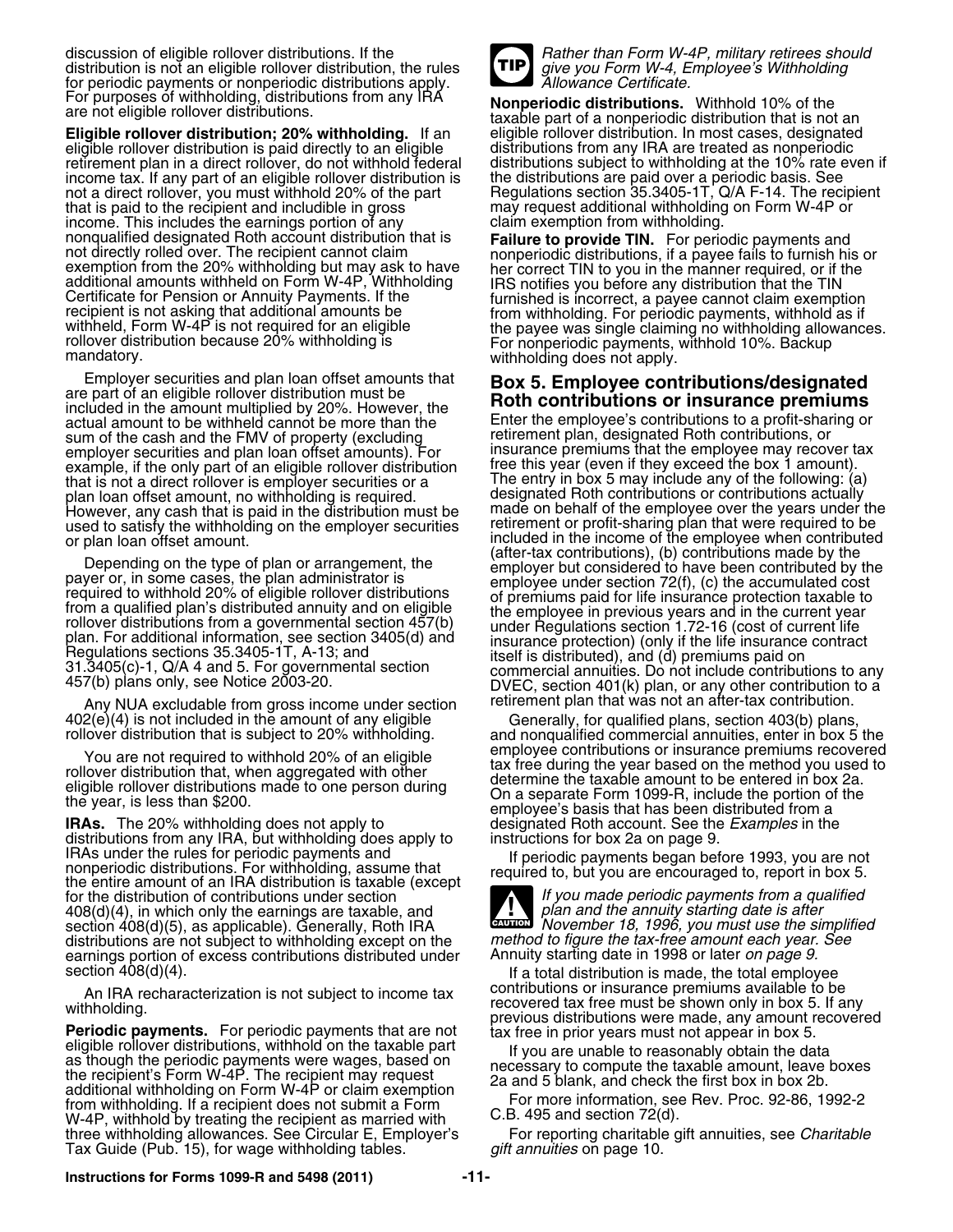discussion of eligible rollover distributions. If the **Rather than Form W-4P, military retirees should** distribution is not an eligible rollover distribution, the rules **FIP** give you Form W-4, Employee's Withholding for periodic payments or nonperiodic distributions apply. for periodic payments or nonperiodic distributions apply.

**Eligible rollover distribution; 20% withholding.** If an eligible rollover distribution. In most cases, designate<br>eligible rollover distribution is paid directly to an eligible distributions from any IRA are treated as non eligible rollover distribution is paid directly to an eligible distributions from any IRA are treated as nonperiodic<br>retirement plan in a direct rollover, do not withhold federal distributions subject to withholding at the retirement plan in a direct rollover, do not withhold federal income tax. If any part of an eligible rollover distribution is the distributions are paid over a periodic basis. See<br>not a direct rollover, you must withhold 20% of the part Regulations section 35.3405-1T, Q/A F-14. The r not a direct rollover, you must withhold 20% of the part that is paid to the recipient and includible in gross income. This includes the earnings portion of any<br>nonqualified designated Roth account distribution that is nonqualitied designated Roth account distribution that is<br>
not directly rolled over. The recipient cannot claim<br>
exemption from the 20% withholding but may ask to have<br>
additional amounts withheld on Form W-4P, Withholding

Employer securities and plan loan offset amounts that<br>are part of an eligible rollover distribution must be<br>included in the amount multiplied by 20%. However, the<br>actual amount to be withheld cannot be more than the<br>Enter sum of the cash and the FMV of property (excluding retirement plan, designated Roth contributions, or<br>employer securities and plan loan offset amounts). For insurance premiums that the employee may recover tax employer securities and plan loan offset amounts). For insurance premiums that the employee may recover t<br>example, if the only part of an eligible rolloyer distribution free this year (even if they exceed the box 1 amount) example, if the only part of an eligible rollover distribution free this year (even if they exceed the box 1 amount).<br>that is not a direct rollover is emplover securities or a free thry in box 5 may include any of the foll that is not a direct rollover is employer securities or a formulation in box 5 may include any of the following: (a<br>plan loan offset amount, no withholding is required. The designated Roth contributions or contributions ac plan loan offset amount, no withholding is required.<br>However, any cash that is paid in the distribution must be used to satisfy the withholding on the employer securities or plan loan offset amount.

Any NUA excludable from gross income under section retirement plan that was not an after-tax contribution.<br>Generally, for qualified plans, section 403(b) plans

distributions from any IRA, but withholding does apply to instructions for box 2a on page 9. IRAs under the rules for periodic payments and<br>nonperiodic distributions. For withholding, assume that<br>the entire amount of an IRA distribution is taxable (except<br>let be entire amount of an IRA distribution is taxable (exc for the distribution of contributions under section *If you made periodic payments from a qualified*<br>408(d)(4), in which only the earnings are taxable, and *If you made he annuity starting date is after* 408(d)(4), in which only the earnings are taxable, and section 408(d)(5), as applicable). Generally, Roth IRA distributions are not subject to withholding except on the *method to figure the tax-free amount each year.*<br>6 earnings portion of excess contributions distributed under Annuity starting date in 1998 or later *on page* earnings portion of excess contributions distributed under section 408(d)(4).

An IRA recharacterization is not subject to income tax<br>withholding.<br> **Periodic payments.** For periodic payments that are not<br>
eligible rollover distributions, withhold on the taxable part<br>
as though the periodic payments W-4P, withhold by treating the recipient as married with three withholding allowances. See Circular E, Employer's For reporting charitable gift annuities, see *Charitable*<br>Tax Guide (Pub. 15), for wage withholding tables. *The mailt annuities* on page 10. Tax Guide (Pub. 15), for wage withholding tables.



For purposes of withholding, distributions from any IRA **Nonperiodic distributions.** Withhold 10% of the taxable part of a nonperiodic distribution that is not an are not eligible rollover distribution: 20% withholding. If may request additional withholding on Form W-4P or claim exemption from withholding.

Enter the employee's contributions to a profit-sharing or retirement plan, designated Roth contributions, or made on behalf of the employee over the years under the retirement or profit-sharing plan that were required to be included in the income of the employee when contributed (after-tax contributions), (b) contributions made by the Depending on the type of plan or arrangement, the<br>payer or, in some cases, the plan administrator is<br>required to withhold 20% of eligible rollover distributions<br>from a qualitied plan's distribution and one light of premiu

402(e)(4) is not included in the amount of any eligible<br>rollover distribution that is subject to 20% withholding. and nonqualified commercial annuities, enter in box 5 the<br>employee contributions or insurance premiums recov You are not required to withhold 20% of an eligible<br>
rollover distribution that, when aggregated with other<br>
eligible rollover distributions made to one person during<br>
eligible rollover distributions made to one person dur **I** designated Roth account. See the *Examples* in the

**CAUTION** *November 18, 1996, you must use the simplified* method to figure the tax-free amount each year. See **!**

If a total distribution is made, the total employee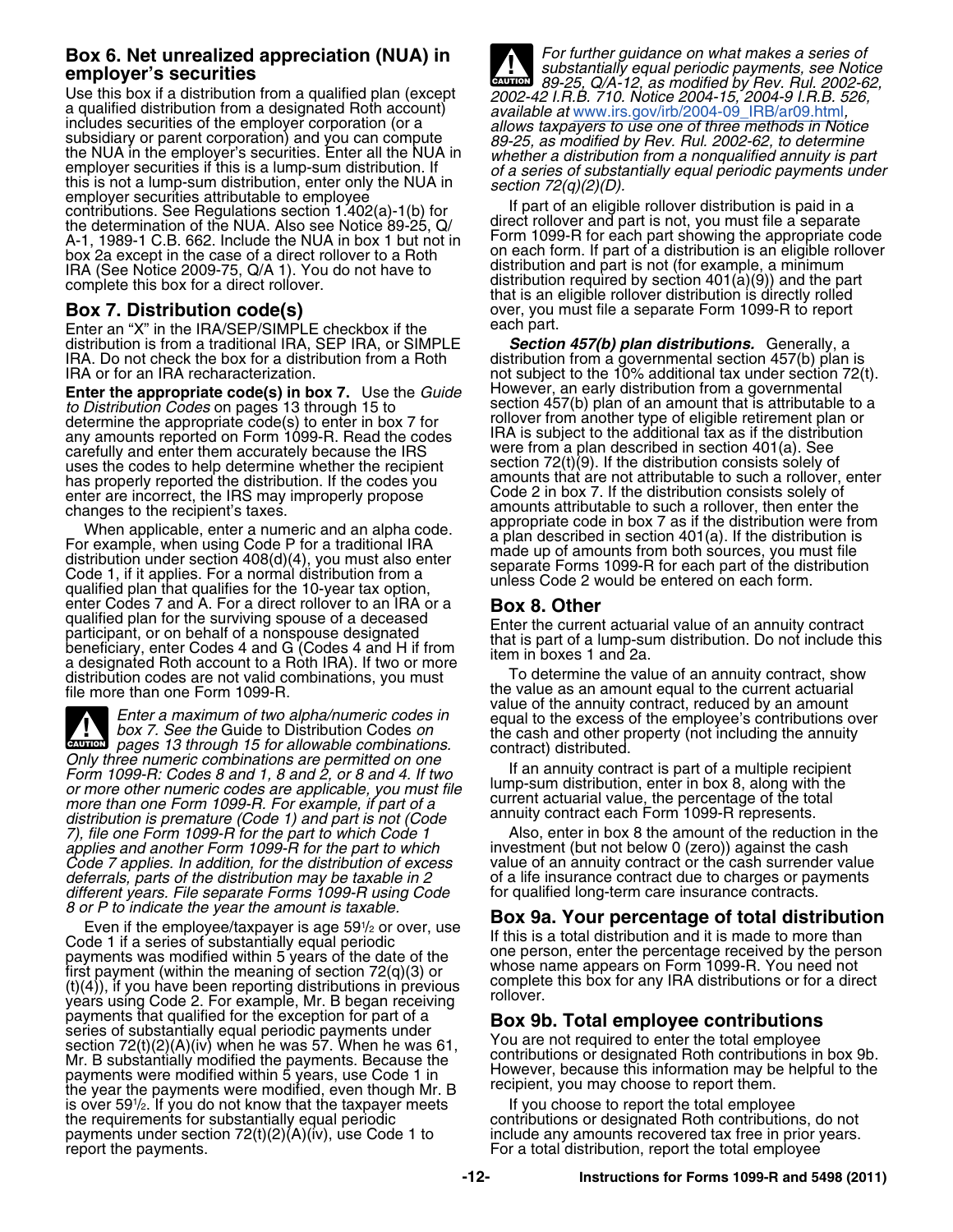# **Box 6. Net unrealized appreciation (NUA) in** *For further guidance on what makes a series of*

Use this box if a distribution from a qualified plan (except<br>
a qualified plan (except<br>
a qualified plan (except<br>
a coulified at [www.irs.gov/irb/2004-09\\_IRB/ar09.html](http://www.irs.gov/irb/2004-09_IRB/ar09.html),<br>
includes securities of the employer corporation (or box 2a except in the case of a direct rollover to a Roth<br>IRA (See Notice 2009-75, Q/A 1). You do not have to distribution and part is not (for example, a minimum<br>complete this box for a direct rollover.<br>that is no distribu

Enter an "X" in the IRA/SEP/SIMPLE checkbox if the **the each part.** distribution is from a traditional IRA, SEP IRA, or SIMPLE *Section 457(b) plan distributions.* Generally, a IRA. Do not check the box for a distribution from a Roth distribution from a governmental section 457(b) plan is<br>IRA or for an IRA recharacterization.<br>
IRA or for an IRA recharacterization.

**Enter the appropriate code(s) in box 7.** Use the *Guide* However, an early distribution from a governmental to Distribution Codes on pages 13 through 15 to section 457(b) plan of an amount that is attributable *to Distribution Codes* on pages 13 through 15 to section 457(b) plan of an amount that is attributable to a determine the appropriate code(s) to enter in box 7 for **contained and the section** another type of eligible reti determine the appropriate code(s) to enter in box 7 for rollover from another type of eligible retirement plan or any amounts reported on Form 1099-R. Read the codes IRA is subject to the additional tax as if the distribution any amounts reported on Form 1099-R. Read the codes<br>carefully and enter them accurately because the IRS were from a plan described in section 401(a). See uses the codes to help determine whether the recipient section 72(t)(9). If the distribution consists solely of<br>has properly reported the distribution. If the codes you amounts that are not attributable to such a rollover, has properly reported the distribution. If the codes you amounts that are not attributable to such a rollover,<br>enter are incorrect, the IRS may improperly propose Code 2 in box 7. If the distribution consists solely of enter are incorrect, the IRS may improperly propose

When applicable, enter a numeric and an alpha code.<br>
For example, when using Code P for a traditional IRA<br>
distribution under section 408(d)(4), you must also enter<br>
Code 1, if it applies. For a normal distribution from a enter Codes 7 and A. For a direct rollover to an IRA or a qualified plan for the surviving spouse of a deceased<br>
participant, or on behalf of a nonspouse designated<br>
beneficiary, enter Codes 4 and G (Codes 4 and H if from<br>
a designated Roth account to a Roth IRA). If two or more<br> distribution codes are not valid combinations, you must<br>file more than one Form 1099-R.<br>the value as an amount equal to the current actuarial

Enter a maximum of two alpha/numeric codes in<br>box 7. See the Guide to Distribution Codes on<br>pages 13 through 15 for allowable combinations.<br>Only three numeric combinations are permitted on one<br>the cash and other property ( **ALL**<br>CAUTION Crity these numeric combinations are permitted on one of the same intervention of the spart of a multiple recipient<br>Form 1099-R: Codes 8 and 1, 8 and 2, or 8 and 4. If two<br>or more other numeric codes are applicable, you mu *more than one Form 1099-R. For example, if part of a* current actuarial value, the percentage of the total metro<br>distribution is premature (Code 1) and part is not (Code annuity contract each Form 1099-R represents. distribution is premature (Code 1) and part is not (Code annuity contract each Form 1099-R represents.<br>(*distribution is premature (Code 1) and part to which Code 1* and Also, enter in box 8 the amount of the reduction in *7), file one Form 1099-R for the part to which Code 1* Also, enter in box 8 the amount of the reduction in applies and another Form 1099-R for the part to which investment (but not below 0 (zero)) against the cash *applies and another Form 1099-R for the part to which* investment (but not below 0 (zero)) against the cash<br>Code 7 applies. In addition, for the distribution of excess value of an annuity contract or the cash surrender va *Code 7 applies. In addition, for the distribution of excess* value of an annuity contract or the cash surrender value *deferrals, parts of the distribution may be taxable in 2* of a life insurance contract due to charges or pa<br>different years. File separate Forms 1099-R using Code for qualified long-term care insurance contracts. *different years. File separate Forms 1099-R using Code*<br>8 or P to indicate the year the amount is taxable.

Even if the employee/taxpayer is age  $59\frac{1}{2}$  or over, use Code 1 if a series of substantially equal periodic Fig. If this is a total distribution and it is made to more than<br>If the person, enter the percentage received by the person payments was modified within 5 years of the date of the one person, enter the percentage received by the person<br>first payment (within the meaning of section 72(q)(3) or<br>(t)(4)), if you have been reporting distributions in payments that qualified for the exception for part of a<br>series of substantially equal periodic payments under<br>section 72(t)(2)(A)(iv) when he was 57. When he was 61, You are not required to enter the total employee<br>Mr. B s Section  $T = (0, \pm 0.01)$ , when he has seen the masser.<br>Mr. B substantially modified the payments. Because the contributions or designated Roth contributions in box 9b However, because the payments in the payment of the payments were modified within 5 years, use Code 1 in and However, because this information may be helpful to the payments were modified, even though Mr. B recipient, you is over 591/2. If you do not know that the taxpayer meets lif you choose to report the total employee the requirements for substantially equal periodic contributions or designated Roth contributions, do not payments under section 72(t)(2)(A)(iv), use Code 1 to include any amounts recovered tax free in prior years.<br>For a to

*substantially equal periodic payments, see Notice* **employer's securities** *89-25, Q/A-12, as modified by Rev. Rul. 2002-62,* **CAUTION !**

distribution required by section  $401(\dot{a})(9)$  and the part complete this box for a direct rollover.<br> **Box 7. Distribution code(s)** exert that is an eligible rollover distribution is directly rolled over, you must file a s over, you must file a separate Form 1099-R to report<br>each part.

not subject to the 10% additional tax under section 72(t). changes to the recipient's taxes.<br>Mean amounts attributable to such a rollover, then enter the<br>Mean analisable actors a numeric and an alpha aadel appropriate code in box 7 as if the distribution were from

## **Box 9a. Your percentage of total distribution**<br>If this is a total distribution and it is made to more than

For a total distribution, report the total employee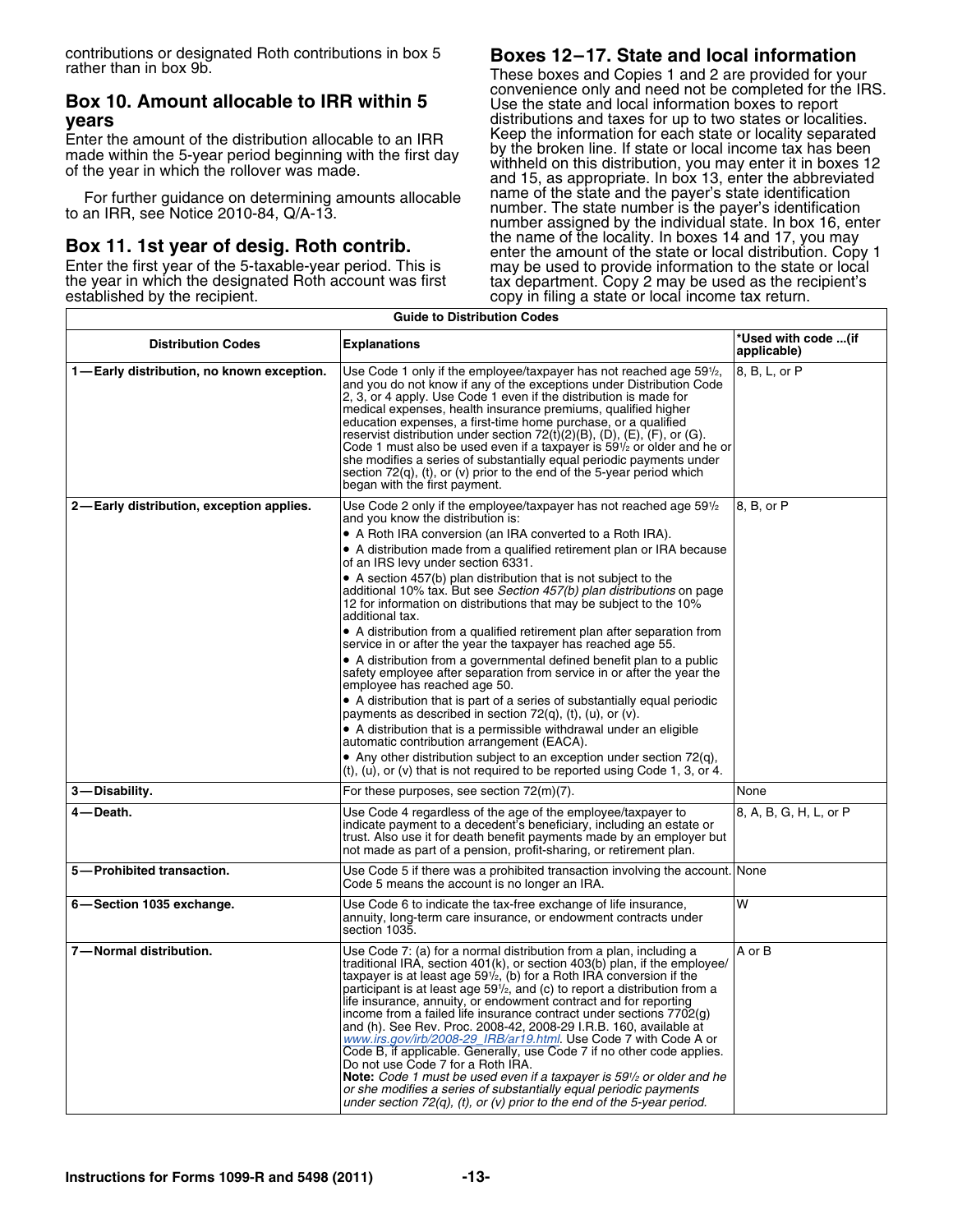contributions or designated Roth contributions in box 5 **Boxes 12–17. State and local information**

# convenience only and need not be completed for the IRS. **Box 10. Amount allocable to IRR within 5** Use the state and local information boxes to report

made within the 5-year period beginning with the first day of the year in which the rollover was made.

These boxes and Copies 1 and 2 are provided for your<br>convenience only and need not be completed for the IRS. **years vertext vears distributions** and taxes for up to two states or localities. Enter the amount of the distribution allocable to an IRR Keep the information for each state or locality separated<br>made within the 5-year period beginning with the first day, by the broken line. If state or local income ta withheld on this distribution, you may enter it in boxes 12 and 15, as appropriate. In box 13, enter the abbreviated name of the state and the payer's state identification For further guidance on determining amounts allocable<br>to an IRR, see Notice 2010-84, Q/A-13.<br>The state number. The state number is the payer's identification<br>mumber assigned by the individual state. In box 16, enter<br>the na **Box 11. 1st year of desig. Roth contrib.**<br>
Enter the amount of the state or local distribution. Copy 1<br>
Enter the first year of the 5-taxable-year period. This is<br>
the year in which the designated Roth account was first<br> copy in filing a state or local income tax return.

| <b>Guide to Distribution Codes</b>        |                                                                                                                                                                                                                                                                                                                                                                                                                                                                                                                                                                                                                                                                                                                                                                                                                                                                                                                                                                                                                                                                                                                                                                                                                                                                                                                       |                                   |  |  |  |  |
|-------------------------------------------|-----------------------------------------------------------------------------------------------------------------------------------------------------------------------------------------------------------------------------------------------------------------------------------------------------------------------------------------------------------------------------------------------------------------------------------------------------------------------------------------------------------------------------------------------------------------------------------------------------------------------------------------------------------------------------------------------------------------------------------------------------------------------------------------------------------------------------------------------------------------------------------------------------------------------------------------------------------------------------------------------------------------------------------------------------------------------------------------------------------------------------------------------------------------------------------------------------------------------------------------------------------------------------------------------------------------------|-----------------------------------|--|--|--|--|
| <b>Distribution Codes</b>                 | <b>Explanations</b>                                                                                                                                                                                                                                                                                                                                                                                                                                                                                                                                                                                                                                                                                                                                                                                                                                                                                                                                                                                                                                                                                                                                                                                                                                                                                                   | Used with code (if<br>applicable) |  |  |  |  |
| 1-Early distribution, no known exception. | Use Code 1 only if the employee/taxpayer has not reached age 59 <sup>1</sup> / <sub>2</sub> ,<br>and you do not know if any of the exceptions under Distribution Code<br>2, 3, or 4 apply. Use Code 1 even if the distribution is made for<br>medical expenses, health insurance premiums, qualified higher<br>education expenses, a first-time home purchase, or a qualified<br>reservist distribution under section 72(t)(2)(B), (D), (E), (F), or (G).<br>Code 1 must also be used even if a taxpayer is 591/2 or older and he or<br>she modifies a series of substantially equal periodic payments under<br>section $72(q)$ , (t), or (v) prior to the end of the 5-year period which<br>began with the first payment.                                                                                                                                                                                                                                                                                                                                                                                                                                                                                                                                                                                            | 8, B, L, or P                     |  |  |  |  |
| 2-Early distribution, exception applies.  | Use Code 2 only if the employee/taxpayer has not reached age 59 <sup>1</sup> / <sub>2</sub><br>and you know the distribution is:<br>• A Roth IRA conversion (an IRA converted to a Roth IRA).<br>• A distribution made from a qualified retirement plan or IRA because<br>of an IRS levy under section 6331.<br>• A section 457(b) plan distribution that is not subject to the<br>additional 10% tax. But see Section 457(b) plan distributions on page<br>12 for information on distributions that may be subject to the 10%<br>additional tax.<br>• A distribution from a qualified retirement plan after separation from<br>service in or after the year the taxpayer has reached age 55.<br>• A distribution from a governmental defined benefit plan to a public<br>safety employee after separation from service in or after the year the<br>employee has reached age 50.<br>• A distribution that is part of a series of substantially equal periodic<br>payments as described in section $72(q)$ , (t), (u), or (v).<br>• A distribution that is a permissible withdrawal under an eligible<br>automatic contribution arrangement (EACA).<br>• Any other distribution subject to an exception under section $72(q)$ .<br>$(t)$ , $(u)$ , or $(v)$ that is not required to be reported using Code 1, 3, or 4. | 8. B. or P                        |  |  |  |  |
| 3-Disability.                             | For these purposes, see section 72(m)(7).                                                                                                                                                                                                                                                                                                                                                                                                                                                                                                                                                                                                                                                                                                                                                                                                                                                                                                                                                                                                                                                                                                                                                                                                                                                                             | None                              |  |  |  |  |
| 4 — Death.                                | Use Code 4 regardless of the age of the employee/taxpayer to<br>indicate payment to a decedent's beneficiary, including an estate or<br>trust. Also use it for death benefit payments made by an employer but<br>not made as part of a pension, profit-sharing, or retirement plan.                                                                                                                                                                                                                                                                                                                                                                                                                                                                                                                                                                                                                                                                                                                                                                                                                                                                                                                                                                                                                                   | 8, A, B, G, H, L, or P            |  |  |  |  |
| 5-Prohibited transaction.                 | Use Code 5 if there was a prohibited transaction involving the account. None<br>Code 5 means the account is no longer an IRA.                                                                                                                                                                                                                                                                                                                                                                                                                                                                                                                                                                                                                                                                                                                                                                                                                                                                                                                                                                                                                                                                                                                                                                                         |                                   |  |  |  |  |
| 6-Section 1035 exchange.                  | Use Code 6 to indicate the tax-free exchange of life insurance,<br>annuity, long-term care insurance, or endowment contracts under<br>section 1035.                                                                                                                                                                                                                                                                                                                                                                                                                                                                                                                                                                                                                                                                                                                                                                                                                                                                                                                                                                                                                                                                                                                                                                   | W                                 |  |  |  |  |
| 7-Normal distribution.                    | Use Code 7: (a) for a normal distribution from a plan, including a<br>traditional IRA, section 401(k), or section 403(b) plan, if the employee/<br>taxpayer is at least age $59\frac{1}{2}$ , (b) for a Roth IRA conversion if the<br>participant is at least age 591/ <sub>2</sub> , and (c) to report a distribution from a<br>life insurance, annuity, or endowment contract and for reporting<br>income from a failed life insurance contract under sections 7702(g)<br>and (h). See Rev. Proc. 2008-42, 2008-29 I.R.B. 160, available at<br>www.irs.gov/irb/2008-29_IRB/ar19.html. Use Code 7 with Code A or<br>Code B, if applicable. Generally, use Code 7 if no other code applies.<br>Do not use Code 7 for a Roth IRA.<br>Note: Code 1 must be used even if a taxpayer is 59 <sup>1</sup> /2 or older and he<br>or she modifies a series of substantially equal periodic payments<br>under section $72(q)$ , (t), or (v) prior to the end of the 5-year period.                                                                                                                                                                                                                                                                                                                                             | A or B                            |  |  |  |  |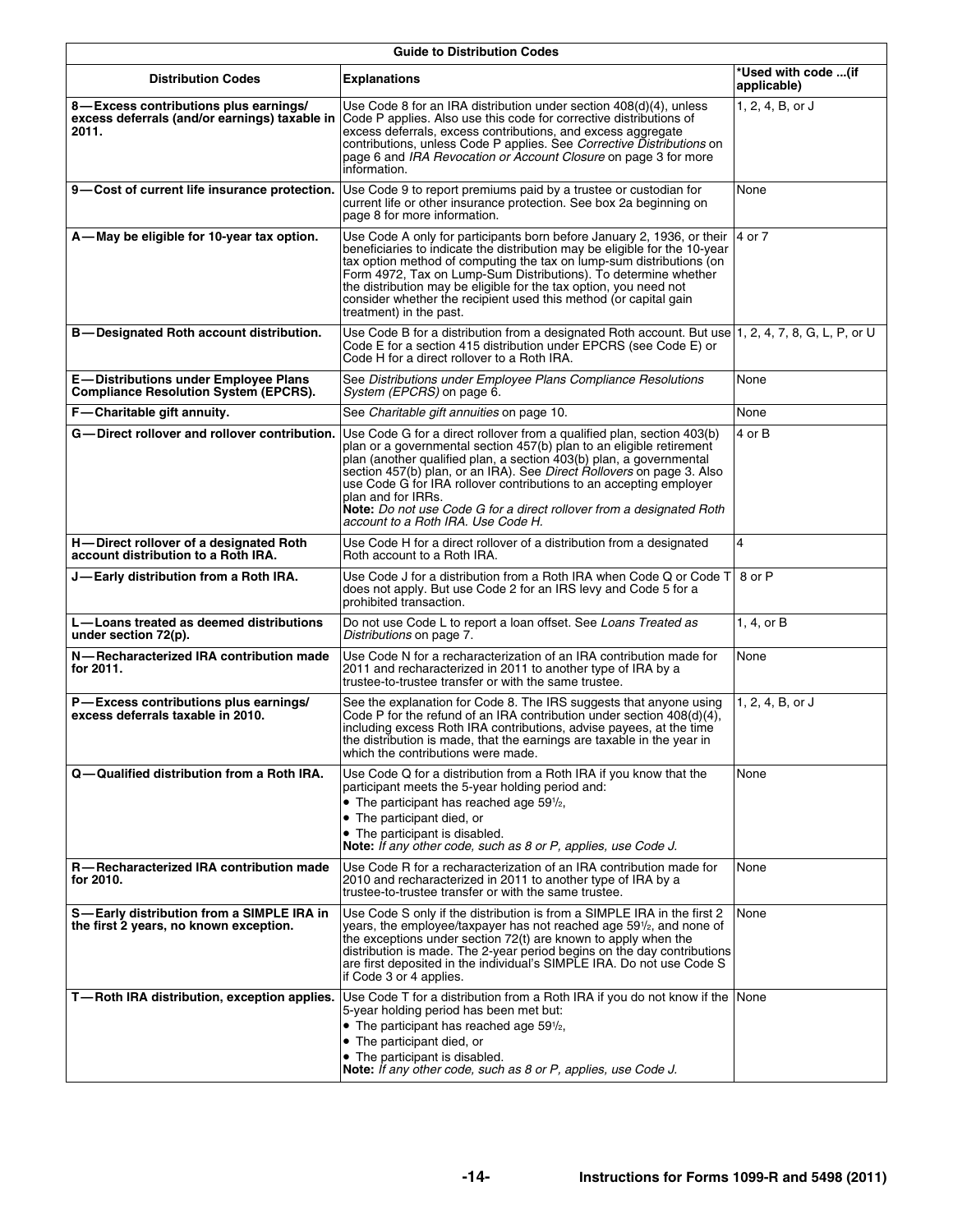| <b>Guide to Distribution Codes</b>                                                           |                                                                                                                                                                                                                                                                                                                                                                                                                                                                                                          |                                    |  |  |  |  |  |
|----------------------------------------------------------------------------------------------|----------------------------------------------------------------------------------------------------------------------------------------------------------------------------------------------------------------------------------------------------------------------------------------------------------------------------------------------------------------------------------------------------------------------------------------------------------------------------------------------------------|------------------------------------|--|--|--|--|--|
| <b>Distribution Codes</b>                                                                    | <b>Explanations</b>                                                                                                                                                                                                                                                                                                                                                                                                                                                                                      | *Used with code (if<br>applicable) |  |  |  |  |  |
| 8-Excess contributions plus earnings/<br>2011.                                               | Use Code 8 for an IRA distribution under section 408(d)(4), unless<br>excess deferrals (and/or earnings) taxable in Code P applies. Also use this code for corrective distributions of<br>excess deferrals, excess contributions, and excess aggregate<br>contributions, unless Code P applies. See Corrective Distributions on<br>page 6 and IRA Revocation or Account Closure on page 3 for more<br>information.                                                                                       | 1, 2, 4, B, or J                   |  |  |  |  |  |
| 9-Cost of current life insurance protection.                                                 | Use Code 9 to report premiums paid by a trustee or custodian for<br>current life or other insurance protection. See box 2a beginning on<br>page 8 for more information.                                                                                                                                                                                                                                                                                                                                  | None                               |  |  |  |  |  |
| A-May be eligible for 10-year tax option.                                                    | Use Code A only for participants born before January 2, 1936, or their<br>beneficiaries to indicate the distribution may be eligible for the 10-year<br>tax option method of computing the tax on lump-sum distributions (on<br>Form 4972, Tax on Lump-Sum Distributions). To determine whether<br>the distribution may be eligible for the tax option, you need not<br>consider whether the recipient used this method (or capital gain<br>treatment) in the past.                                      | 4 or 7                             |  |  |  |  |  |
| <b>B-Designated Roth account distribution.</b>                                               | Use Code B for a distribution from a designated Roth account. But use 1, 2, 4, 7, 8, G, L, P, or U<br>Code E for a section 415 distribution under EPCRS (see Code E) or<br>Code H for a direct rollover to a Roth IRA.                                                                                                                                                                                                                                                                                   |                                    |  |  |  |  |  |
| <b>E</b> —Distributions under Employee Plans<br><b>Compliance Resolution System (EPCRS).</b> | See Distributions under Employee Plans Compliance Resolutions<br>System (EPCRS) on page 6.                                                                                                                                                                                                                                                                                                                                                                                                               | None                               |  |  |  |  |  |
| F-Charitable gift annuity.                                                                   | See Charitable gift annuities on page 10.                                                                                                                                                                                                                                                                                                                                                                                                                                                                | None                               |  |  |  |  |  |
| G-Direct rollover and rollover contribution.                                                 | Use Code G for a direct rollover from a qualified plan, section 403(b)<br>plan or a governmental section 457(b) plan to an eligible retirement<br>plan (another qualified plan, a section 403(b) plan, a governmental<br>section 457(b) plan, or an IRA). See Direct Rollovers on page 3. Also<br>use Code G for IRA rollover contributions to an accepting employer<br>plan and for IRRs.<br>Note: Do not use Code G for a direct rollover from a designated Roth<br>account to a Roth IRA. Use Code H. | 4 or B                             |  |  |  |  |  |
| H-Direct rollover of a designated Roth<br>account distribution to a Roth IRA.                | Use Code H for a direct rollover of a distribution from a designated<br>Roth account to a Roth IRA.                                                                                                                                                                                                                                                                                                                                                                                                      | 4                                  |  |  |  |  |  |
| J—Early distribution from a Roth IRA.                                                        | Use Code J for a distribution from a Roth IRA when Code Q or Code T 8 or P<br>does not apply. But use Code 2 for an IRS levy and Code 5 for a<br>prohibited transaction.                                                                                                                                                                                                                                                                                                                                 |                                    |  |  |  |  |  |
| L-Loans treated as deemed distributions<br>under section 72(p).                              | Do not use Code L to report a loan offset. See Loans Treated as<br>Distributions on page 7.                                                                                                                                                                                                                                                                                                                                                                                                              | 1, 4, or B                         |  |  |  |  |  |
| N-Recharacterized IRA contribution made<br>for 2011.                                         | Use Code N for a recharacterization of an IRA contribution made for<br>2011 and recharacterized in 2011 to another type of IRA by a<br>trustee-to-trustee transfer or with the same trustee.                                                                                                                                                                                                                                                                                                             | None                               |  |  |  |  |  |
| P-Excess contributions plus earnings/<br>excess deferrals taxable in 2010.                   | See the explanation for Code 8. The IRS suggests that anyone using<br>Code P for the refund of an IRA contribution under section 408(d)(4),<br>including excess Roth IRA contributions, advise payees, at the time<br>the distribution is made, that the earnings are taxable in the year in<br>which the contributions were made.                                                                                                                                                                       | 1, 2, 4, B, or J                   |  |  |  |  |  |
| Q-Qualified distribution from a Roth IRA.                                                    | Use Code Q for a distribution from a Roth IRA if you know that the<br>participant meets the 5-year holding period and:<br>• The participant has reached age $59\frac{1}{2}$ ,<br>• The participant died, or<br>• The participant is disabled.<br><b>Note:</b> If any other code, such as 8 or P, applies, use Code J.                                                                                                                                                                                    | None                               |  |  |  |  |  |
| R-Recharacterized IRA contribution made<br>for 2010.                                         | Use Code R for a recharacterization of an IRA contribution made for<br>2010 and recharacterized in 2011 to another type of IRA by a<br>trustee-to-trustee transfer or with the same trustee.                                                                                                                                                                                                                                                                                                             | None                               |  |  |  |  |  |
| S-Early distribution from a SIMPLE IRA in<br>the first 2 years, no known exception.          | Use Code S only if the distribution is from a SIMPLE IRA in the first 2<br>years, the employee/taxpayer has not reached age 591/ <sub>2</sub> , and none of<br>the exceptions under section 72(t) are known to apply when the<br>distribution is made. The 2-year period begins on the day contributions<br>are first deposited in the individual's SIMPLE IRA. Do not use Code S<br>if Code 3 or 4 applies.                                                                                             | None                               |  |  |  |  |  |
| T-Roth IRA distribution, exception applies.                                                  | Use Code T for a distribution from a Roth IRA if you do not know if the None<br>5-year holding period has been met but:<br>• The participant has reached age $59\frac{1}{2}$ ,<br>• The participant died, or<br>• The participant is disabled.<br>Note: If any other code, such as 8 or P, applies, use Code J.                                                                                                                                                                                          |                                    |  |  |  |  |  |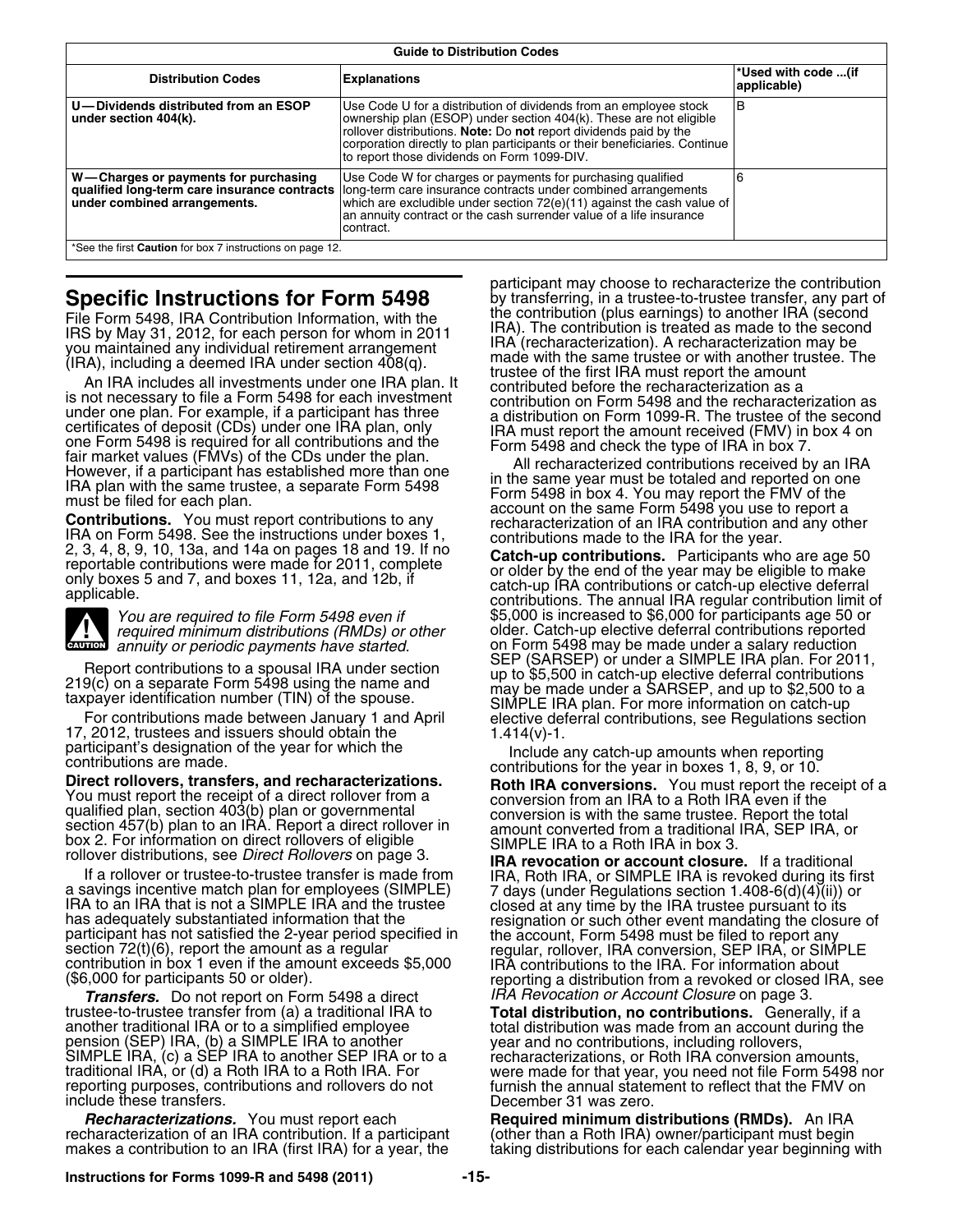| <b>Guide to Distribution Codes</b>                                   |                                                                                                                                                                                                                                                                                                                                           |                                    |  |  |  |  |
|----------------------------------------------------------------------|-------------------------------------------------------------------------------------------------------------------------------------------------------------------------------------------------------------------------------------------------------------------------------------------------------------------------------------------|------------------------------------|--|--|--|--|
| <b>Distribution Codes</b>                                            | <b>Explanations</b>                                                                                                                                                                                                                                                                                                                       | *Used with code (if<br>applicable) |  |  |  |  |
| U-Dividends distributed from an ESOP<br>under section 404(k).        | Use Code U for a distribution of dividends from an employee stock<br>ownership plan (ESOP) under section 404(k). These are not eligible<br>rollover distributions. Note: Do not report dividends paid by the<br>corporation directly to plan participants or their beneficiaries. Continue<br>to report those dividends on Form 1099-DIV. | IВ                                 |  |  |  |  |
| W-Charges or payments for purchasing<br>under combined arrangements. | Use Code W for charges or payments for purchasing qualified<br>qualified long-term care insurance contracts long-term care insurance contracts under combined arrangements<br>which are excludible under section 72(e)(11) against the cash value of<br>an annuity contract or the cash surrender value of a life insurance<br>contract.  |                                    |  |  |  |  |
| *See the first <b>Caution</b> for box 7 instructions on page 12.     |                                                                                                                                                                                                                                                                                                                                           |                                    |  |  |  |  |

 $\frac{1}{2}$ 

If a rollover or trustee-to-trustee transfer is made from<br>a savings incentive match plan for employees (SIMPLE) 7 days (under Regulations section 1.408-6(d)(4)(ii)) or<br>IRA to an IRA that is not a SIMPLE IRA and the trustee

*Transfers.* Do not report on Form 5498 a direct *IRA Revocation or Account Closure* on page 3.<br>trustee-to-trustee transfer from (a) a traditional IRA to **Total distribution, no contributions.** Genera reporting purposes, contributions and rollovers do not furnish the annual statement to reflect that the FMV on include these transfers. The contract of the contract of the December 31 was zero.

*Recharacterizations.* You must report each **Required minimum distributions (RMDs).** An IRA recharacterization of an IRA contribution. If a participant (other than a Roth IRA) owner/participant must begin<br>makes a contribution to an IRA (first IRA) for a year, the taking distributions for each calendar year

participant may choose to recharacterize the contribution<br>by transferring, in a trustee-to-trustee transfer, any part of **Specific Instructions for Form 5498** by transferring, in a trustee-to-trustee transfer, any part File Form 5496<br>File Form 5498, IRA Contribution Information, with the the contribution (plus earnings) to another IRA (secon File Form 5498, IRA Contribution Information, with the sampline information (plus earnings) to another IRA (second transform) in the second trip in the same transform of whom in 2011<br>
(IRA), including a deemed IRA under se

*You are required to file Form 5498 even if* \$5,000 is increased to \$6,000 for participants age 50 or required minimum distributions (RMDs) or other older. Catch-up elective deferral contributions reported *redigired midsiging distributions in older. Catch-up elective deferral contributions reported* annuity or periodic payments have started. The Started on Form 5498 may be made under a salary reduction<br>SEP (SARSEP) or under a SIMPLE IRA plan. For 2011,

Report contributions to a spousal IRA under section<br>
219(c) on a separate Form 5498 using the name and<br>
taxpayer identification number (TIN) of the spouse.<br>
For contributions made between January 1 and April<br>
To contributi

contribution in box 1 even if the amount exceeds \$5,000 FINA contributions to the IRA. For information about<br>(\$6,000 for participants 50 or older). reporting a distribution from a revoked or closed IRA, see

trustee-to-trustee transfer from (a) a traditional IRA to<br>another traditional IRA or to a simplified employee<br>pension (SEP) IRA, (b) a SIMPLE IRA to another<br>SIMPLE IRA, (c) a SEP IRA to another SEP IRA or to a<br>traditional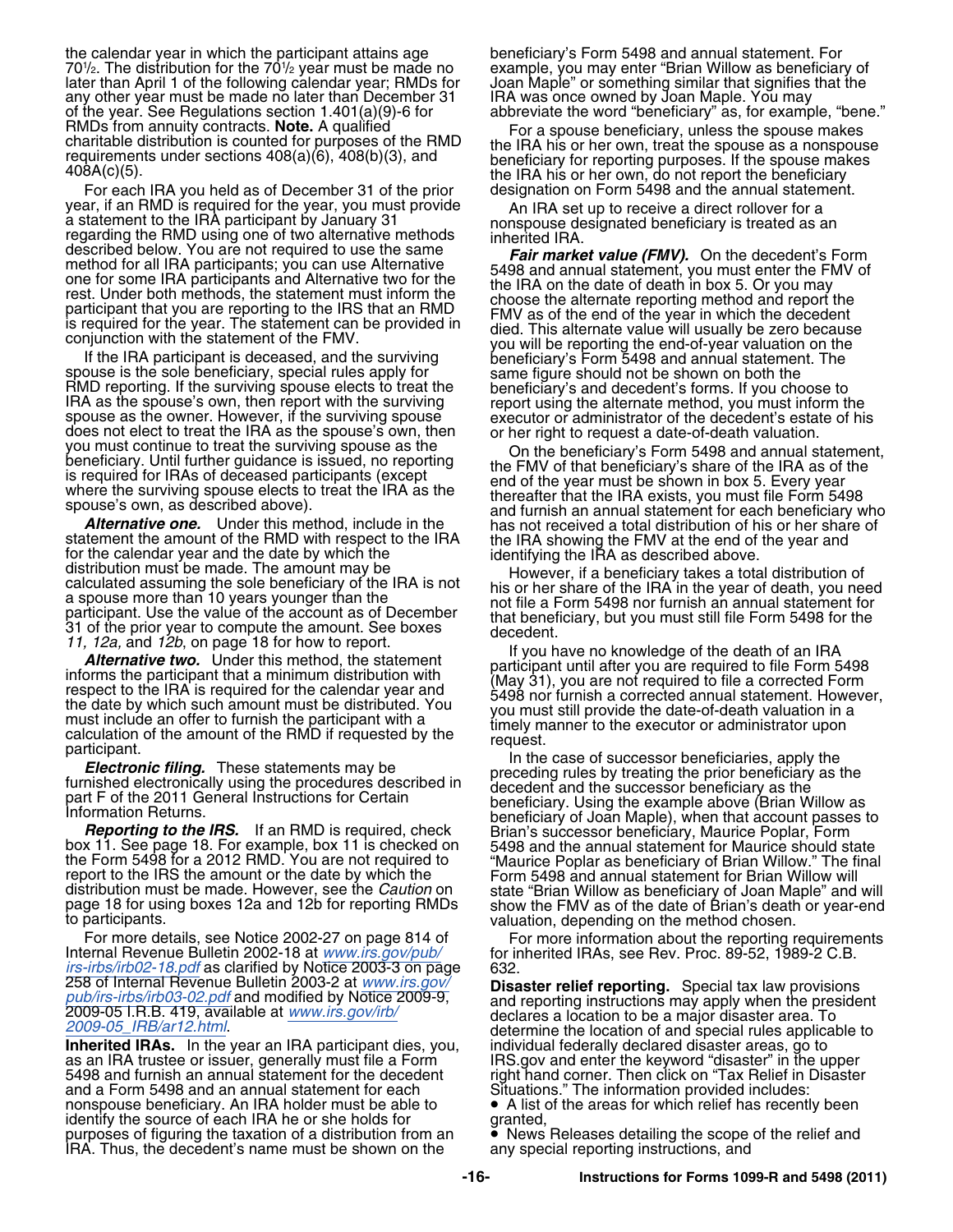the calendar year in which the participant attains age beneficiary's Form 5498 and annual statement. For 70<sup>1</sup> /2. The distribution for the 70<sup>1</sup> later than April 1 of the following calendar year; RMDs for Joan Maple" or something similar that signifies any<br>that that that that that that than December 31 That was once owned by Joan Maple. You may any other year must be made no later than December 31 of the year. See Regulations section  $1.401(a)(9)$ -6 for of the year. See Regulations section 1.401(a)(9)-6 for abbreviate the word "beneficiary" as, for example, "bene."<br>RMDs from annuity contracts. **Note.** A qualified For a spouse beneficiary unless the spouse makes

For each IRA you held as of December 31 of the prior year, if an RMD is required for the year, you must provide<br>a statement to the IRA participant by January 31<br>regarding the RMD using one of two alternative methods<br>described below. You are not required to use the same<br>**Eair** 

does not elect to treat the IRA as the spouse's own, then<br>you must continue to treat the surviving spouse as the<br>beneficiary's Form 5498 and annual statement,<br>beneficiary. Until further guidance is issued, no reporting<br>is

statement the amount of the RMD with respect to the IRA showing the FMV at the ead of the year and<br>distribution must be mount may be made. The amount may be made in the state of the state in the state in the state in the s

the Form 5498 for a 2012 RMD. You are not required to<br>the Form 5498 for a 2012 RMD. You are not required to "Maurice Poplar as beneficiary of Brian Willow." The final<br>report to the IRS the amount or the date by which the F

For more details, see Notice 2002-27 on page 814 of For more information about the reporting requirements Internal Revenue Bulletin 2002-18 at *[www.irs.gov/pub/](http://www.irs.gov/pub/irs-irbs/irb02-18.pdf)* for inherited IRAs, see Rev. Proc. 89-52, 1989-2 C.B. *[irs-irbs/irb02-18.pdf](http://www.irs.gov/pub/irs-irbs/irb02-18.pdf)* as clarified by Notice 2003-3 on page 632.<br>258 of Internal Revenue Bulletin 2003-2 at www.irs.gov/ **Disa** 

**Inherited IRAs.** In the year an IRA participant dies, you, as an IRA trustee or issuer, generally must file a Form<br>5498 and furnish an annual statement for the decedent and a Form 5498 and an annual statement for each Situations." The information provided includes:<br>
nonspouse beneficiary. An IRA holder must be able to <br>
• A list of the areas for which relief has recently been nonspouse beneficiary. An IRA holder must be able to identify the source of each IRA he or she holds for granted,<br>purposes of figuring the taxation of a distribution from an **Come A** News Releases detailing the scope of the relief and purposes of figuring the taxation of a distribution from an ● News Releases detailing the scope<br>IRA. Thus, the decedent's name must be shown on the any special reporting instructions, and IRA. Thus, the decedent's name must be shown on the

example, you may enter "Brian Willow as beneficiary of<br>Joan Maple" or something similar that signifies that the

RMDs from annuity contracts. **Note.** A qualified<br>charitable distribution is counted for purposes of the RMD<br>reguirements under sections  $408(a)(6)$ ,  $408(b)(3)$ , and<br> $408A(c)(5)$ .<br>For each IRA you held as of December 31 of the

described below. You are not required to use the same<br>
method for all IRA participants; you can use Alternative<br>
one for some IRA participants and Alternative two for the<br>
one for some IRA participants and Alternative two

page 18 for using boxes 12a and 12b for reporting RMDs show the FMV as of the date of Brian's death or year-end<br>valuation, depending on the method chosen.

258 of Internal Hevenue Bulletin 2003-2 at *WWW.Irs.gov/*<br> [pub/irs-irbs/irb03-02.pdf](http://www.irs.gov/pub/irs-irbs/irb03-02.pdf) and modified by Notice 2009-9,<br>
2009-05 I.R.B. 419, available at *[www.irs.gov/](http://www.irs.gov/pub/irs-irbs/irb03-02.pdf)irb/*<br>
2009-05 I.R.B. 419, available at *[www.irs.gov/irb/](http://www.irs.gov/irb/2009-05_IRB/ar12.html)*<br> right hand corner. Then click on "Tax Relief in Disaster<br>Situations." The information provided includes: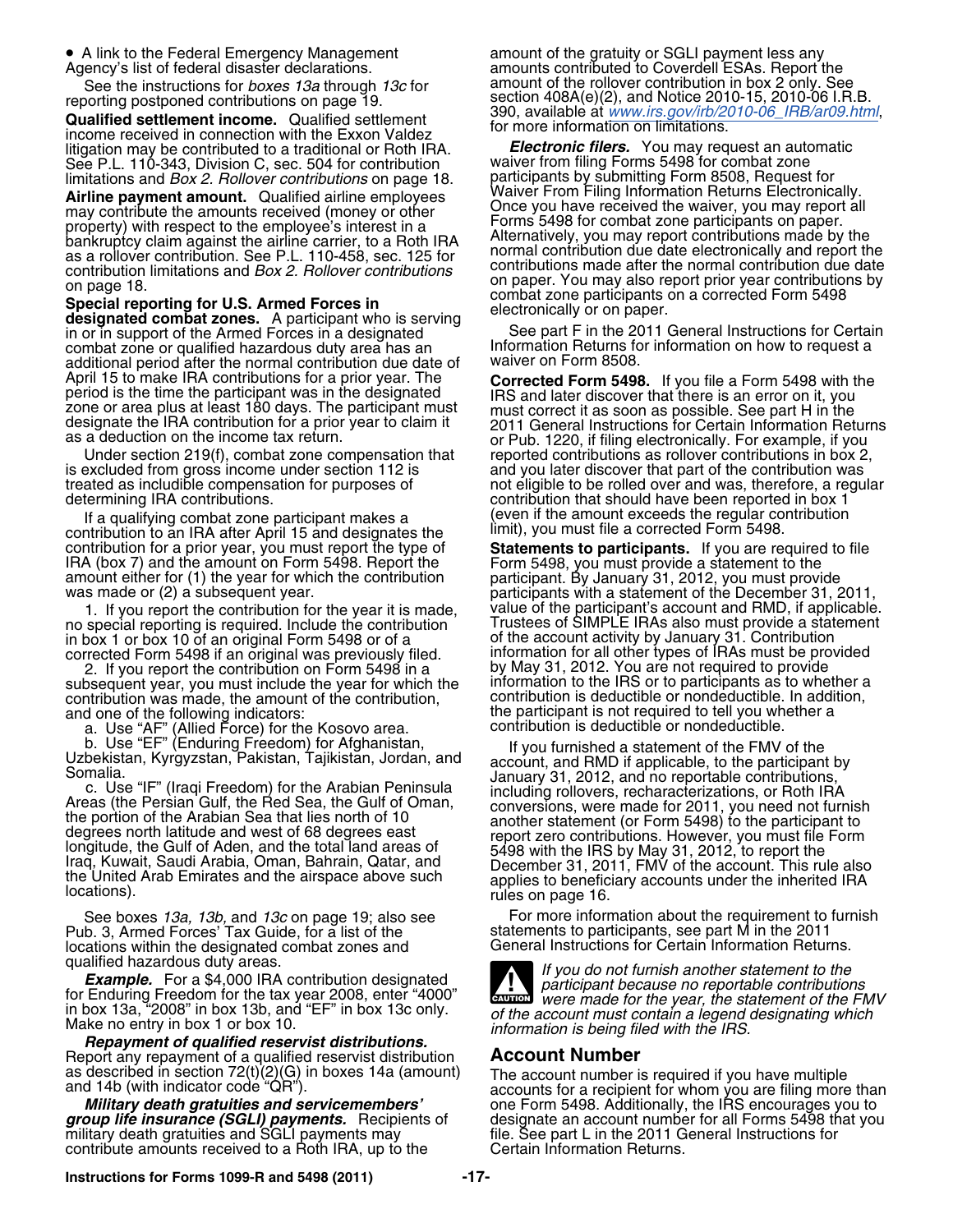• A link to the Federal Emergency Management

**Qualified settlement income.** Qualified settlement<br>
income received in connection with the Exxon Valdez for more information on limitations. litigation may be contributed to a traditional or Roth IRA. *Electronic filers.* You may request an automatic See P.L. 110-343, Division C, sec. 504 for contribution waiver from filing Forms 5498 for combat zone<br>limitations and *Box 2. Rollover contributions* on page 18. Participants by submitting Form 8508, Request for

Airline payment amount. Qualified airline employees waiver From Filing Information Returns Electronically.<br>may contribute the amounts received (money or other Christian Duce you have received the waiver, you may report all may contribute the amounts received (money or other Once you have received the waiver, you may report property) with respect to the employee's interest in a

designated combat zones. A participant who is serving<br>in or in support of the Armed Forces in a designated<br>combat zone or qualified hazardous duty area has an Information Returns for information on how to request a additional period after the normal contribution due date of<br>April 15 to make IRA contributions for a prior year. The April 15 to make IHA contributions for a prior year. The **Corrected Form 5498.** If you file a Form 5498 with the period is the time the participant was in the designated<br>zone or area plus at least 180 days. The participant

is excluded from gross income under section 112 is and you later discover that part of the contribution was treated as includible compensation for purposes of and vote ligible to be rolled over and was, therefore, a regu

If a qualifying combat zone participant makes a<br>contribution to an IRA after April 15 and designates the limit), you must file a corrected Form 5498.<br>contribution for a prior year, you must report the type of **Statements t** 

no special reporting is required. Include the contribution Contrustees of SIMPLE IRAs also must provide a statement no special reporting is required. Include the contribution and trustees of SIMPLE IRAs also must provide a statemen<br>in box 1 or box 10 of an original Form 5498 or of a of the account activity by January 31. Contribution<br>co

subsequent year, you must include the year for which the information to the IRS or to participants as to whether a<br>contribution was made, the amount of the contribution. Contribution is deductible or nondeductible. In addi contribution was made, the amount of the contribution, contribution is deductible or nondeductible. In addition<br>and one of the following indicators: entity on the participant is not required to tell you whether a and one of the following indicators: the participant is not required to tell you whether a

Pub. 3, Armed Forces' Tax Guide, for a list of the locations within the designated combat zones and General Instructions for Certain Information Returns.

Repayment of qualified reservist distributions.<br>Report any repayment of a qualified reservist distribution **Account Number**<br>as described in section 72(t)(2)(G) in boxes 14a (amount) The account number is

contribute amounts received to a Roth IRA, up to the

a mount of the gratuity or SGLI payment less any Agency's list of federal disaster declarations. amounts contributed to Coverdell ESAs. Report the See the instructions for *boxes 13a* through *13c* for amount of the rollover contribution in box 2 only. See<br>reporting postponed contributions on page 19.<br>ection 408A(e)(2), and Notice 2010-15, 2010-06 LR.B.

limitations and *Box 2. Rollover contributions* on page 18. participants by submitting Form 8508, Request for property) with respect to the employee's interest in a<br>bankruptcy claim against the airline carrier, to a Roth IRA<br>as a rollover contribution. See P.L. 110-458, sec. 125 for<br>contribution limitations and *Box 2. Rollover co* 

Information Returns for information on how to request a waiver on Form 8508.

as a deduction on the income tax return.  $\qquad \qquad$  or Pub. 1220, if filing electronically. For example, if you Under section 219(f), combat zone compensation that reported contributions as rollover contributions in box 2, not eligible to be rolled over and was, therefore, a regular determining IRA contributions. contribution that should have been reported in box 1

contribution for a prior year, you must report the type of<br>
IRA (box 7) and the amount on Form 5498. Report the<br>
amount either for (1) the year for which the contribution<br>
was made or (2) a subsequent year.<br>
was made or (2 1. If you report the contribution for the year it is made, value of the participant's account and RMD, if applicable. corrected Form 5498 if an original was previously filed. information for all other types of IRAs must be prov<br>2. If you report the contribution on Form 5498 in a by May 31, 2012. You are not required to provide 2. If you report the contribution on Form 5498 in a http://www.pdf/31, 2012. You are not required to provide<br>bsequent year, you must include the year for which the hinformation to the IRS or to participants as to whether a a. Use "AF" (Allied Force) for the Kosovo area. contribution is deductible or nondeductible.

b. Use "EF" (Enduring Freedom) for Afghanistan, the publishing to a statement of the FMV of the Uzbekistan, Kyrgyzstan, Pakistan, Tajikistan, Jordan, and account, and RMD if applicable, to the participant by Somalia. Conve

See boxes *13a, 13b,* and *13c* on page 19; also see For more information about the requirement to furnish<br>b. 3, Armed Forces' Tax Guide, for a list of the statements to participants, see part M in the 2011



qualified hazardous duty areas.<br>**Example.** For a \$4,000 IRA contribution designated<br>for Enduring Freedom for the tax year 2008, enter "4000" were made for the year the statement of the FI *wward were made for the year, the statement of the FMV* of the account must contain a legend designating which in box 13a, "2008" in box 13b, and "EF" in box 13c only.<br>Make no entry in box 1 or box 10.<br>**Repayment of qualified reservist distributions.**<br>**Repayment of qualified reservist distributions.** 

as described in section 72(t)(2)(G) in boxes 14a (amount) The account number is required if you have multiple and 14b (with indicator code "QR").<br>accounts for a recipient for whom you are filing more than<br>**Military death g group life insurance (SGLI) payments.** Recipients of designate an account number for all Forms 5498 that you military death gratuities and SGLI payments may file. See part L in the 2011 General Instructions for contribute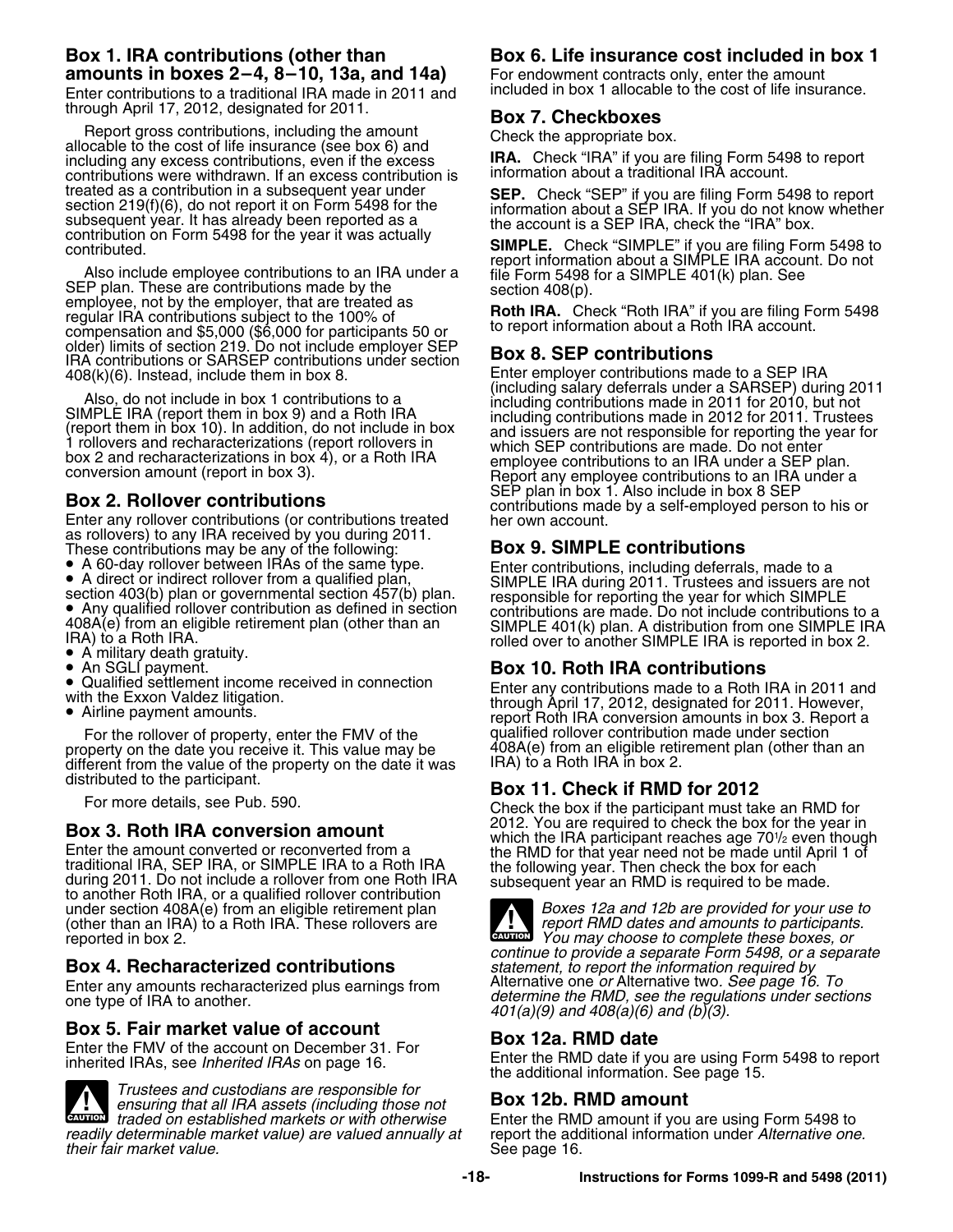# **amounts in boxes 2–4, 8–10, 13a, and 14a)** For endowment contracts only, enter the amount

through April 17, 2012, designated for 2011. **Box 7. Checkboxes**

Report gross contributions, including the amount<br>allocable to the cost of life insurance (see box 6) and<br>including any excess contributions, even if the excess<br>contribution is<br>contributions were withdrawn. If an excess con contributions were withdrawn. If an excess contribution is treated as a contribution in a subsequent year under<br>section 219(f)(6), do not report it on Form 5498 for the<br>subsequent year. It has already been reported as a<br>contribution on Form 5498 for the year it was actually<br>contri

Contributed.<br>
Contributed.<br>
Also include employee contributions to an IRA under a<br>
SIMPLE. Check "SIMPLE" if you are filing Form 5498 to<br>
SIMPLE. Check "SIMPLE" if you are filing Form 5498 to<br>
SEP plan. These are contribut compensation and \$5,000 (\$6,000 for participants 50 or the report information about a Rot older) limits of section 219. Do not include employer SEP<br>IRA contributions or SARSEP contributions under section **Box 8. SEP contri** 

as rollovers) to any IRA received by you during 2011.<br>These contributions may be any of the following:<br>• A 60-day rollover between IRAs of the same type.<br>• A direct or indirect rollover from a qualified plan subset of the

- 
- 

• Any qualified rollover contribution as defined in section 408A(e) from an eligible retirement plan (other than an 408A(e) from an eligible retirement plan (other than an SIMPLE 401(k) plan. A distribution from one SIMPLE IRA<br>IRA) to a Roth IRA. etc. rolled over to another SIMPLE IRA is reported in box 2.

- A military death gratuity.
- An SGLI payment.
- An SGLI payment. **Box 10. Roth IRA contributions** •
- 
- 

property on the date you receive it. This value may be 408A(e) from an eligible retirement from the value of the property on the date it was [RA] to a Roth IRA in box 2. different from the value of the property on the date it was distributed to the participant.

traditional IRA, SEP IRA, or SIMPLE IRA to a Roth IRA<br>during 2011. Do not include a rollover from one Roth IRA<br>to another Roth IRA, or a qualified rollover contribution<br>under section 408A(e) from an eligible retirement pla under section 408A(e) from an eligible retirement plan *Boxes 12a and 12b are provided for your use to* (other than an IRA) to a Roth IRA. These rollovers are (other than an IRA) to a Roth IRA. These rollovers are *reported in box 2*.

Enter any amounts recharacterized plus earnings from one type of IRA to another.

**Box 5. Fair market value of account**<br>
Enter the FMV of the account on December 31. For<br>
inherited IRAs, see *Inherited IRAs* on page 16.<br>
the additional information. See page 15.



*Trustees and custodians are responsible for ensuring that all IRA assets (including those not* **Box 12b. RMD amount** *readily determinable market value) are valued annually at* report the additional information under *their fair market value)* are valued annually at see page 16. *their fair market value.* 

### **Box 1. IRA contributions (other than Box 6. Life insurance cost included in box 1**

Enter contributions to a traditional IRA made in 2011 and included in box 1 allocable to the cost of life insurance.

408(k)(6). Instead, include them in box 8. Enter employer contributions made to a SEP IRA<br>(including salary deferrals under a SARSEP) during 2011 Also, do not include in box 1 contributions to a<br>
SIMPLE IRA (report them in box 9) and a Roth IRA<br>
(report them in box 9) and a Roth IRA<br>
(report them in box 10). In addition, do not include in box<br>
1 rollovers and rechar **Box 2. Rollover contributions**<br>
Enter any rollover contributions (or contributions treated her own account.

• A 60-day rollover between IRAs of the same type.<br>
• A direct or indirect rollover from a qualified plan,<br>
• SIMPLE IRA during 2011. Trustees and issuers are not<br>
• Any qualified rollover contribution as defined in secti

■ Qualified settlement income received in connection<br>with the Exxon Valdez litigation.<br>■ through April 17, 2012, designated for 2011. However,<br>Airline payment amounts. report Roth IRA conversion amounts in box 3. Report a qualified rollover contribution made under section For the rollover of property, enter the FMV of the qualified rollover contribution made under section<br>Sperty on the date you receive it This value may be  $\sim 408$ A(e) from an eligible retirement plan (other than an

## distributed to the participant. **Box 11. Check if RMD for 2012**

Check the box if the participant must take an RMD for<br>2012. You are required to check the box for the year in **2012. You are required to crieck the box for the year in**<br>Enter the amount converted or reconverted from a the RMD for that year need not be made until April 1 of



You may choose to complete these boxes, or **CAUTION !** *continue to provide a separate Form 5498, or a separate* **Box 4. Recharacterized contributions** *statement, to report the information required by* determine the RMD, see the regulations under sections *401(a)(9) and 408(a)(6) and (b)(3).*

Enter the RMD amount if you are using Form 5498 to report the additional information under Alternative one.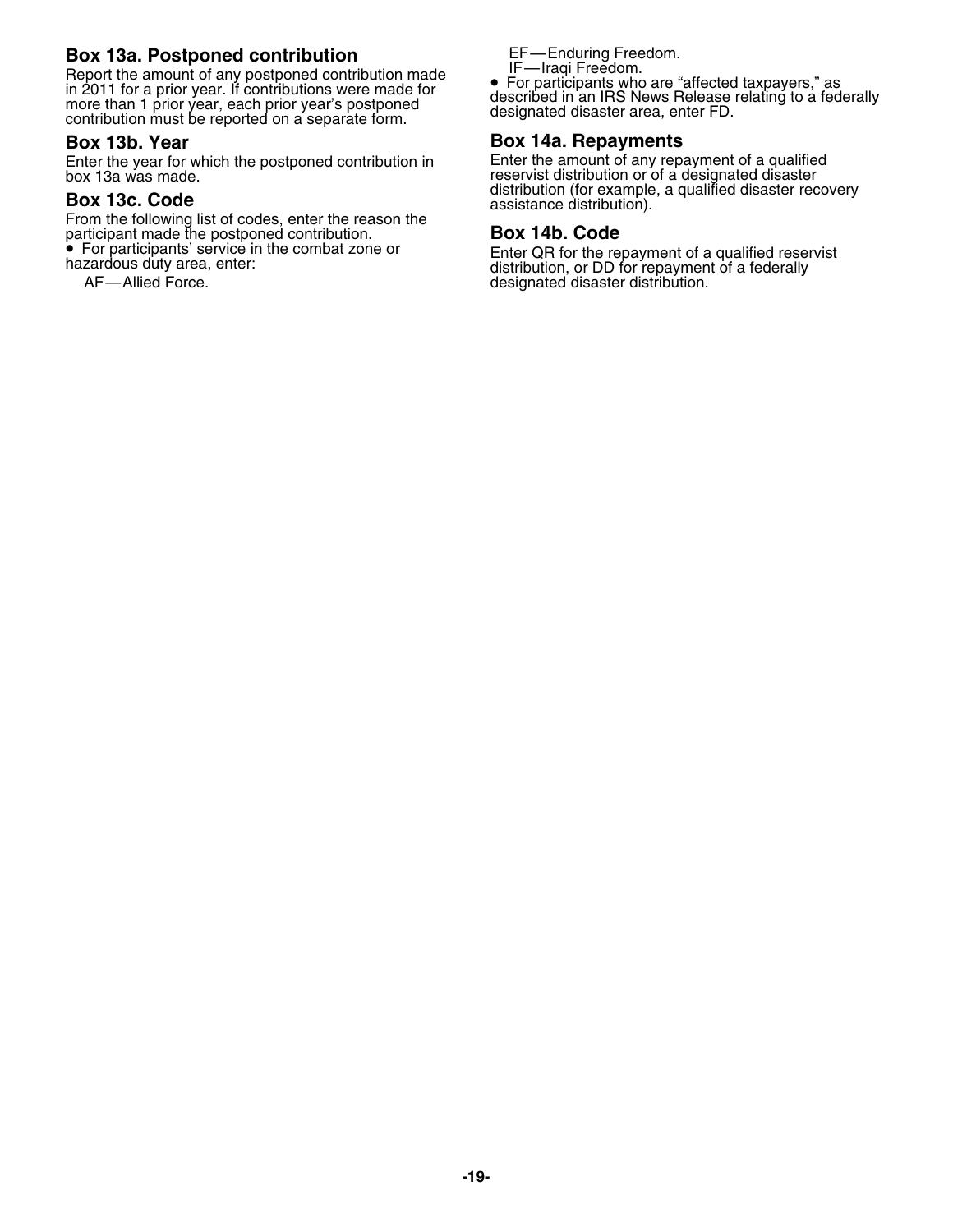## **Box 13a. Postponed contribution**<br>Report the amount of any postponed contribution made <u>I</u>F—Iragi Freedom.

Report the amount of any postponed contribution made in 2011 for a prior year. If contributions were made for Heport the amount of any postponed contribution made<br>in 2011 for a prior year. If contributions were made for<br>more than 1 prior year, each prior year's postponed<br>contribution must be reported on a separate form.<br>contributi

Enter the year for which the postponed contribution in Enter the amount of any repayment of a qualified<br>box 13a was made.<br>Figures of a designated disaster

From the following list of codes, enter the reason the participant made the postponed contribution. **Box 14b. Code** • For participants' service in the combat zone or

### **Box 13b. Year Box 14a. Repayments**

reservist distribution or of a designated disaster **distribution (for example, a qualified disaster recovery** distribution (for example, a qualified disaster recovery assistance distribution).

• For participants' service in the combat zone or Enter QR for the repayment of a qualified reservist hazardous duty area, enter:<br>hazardous duty area, enter: distribution, or DD for repayment of a federally<br>AF—Allied Force designated disaster distribution.